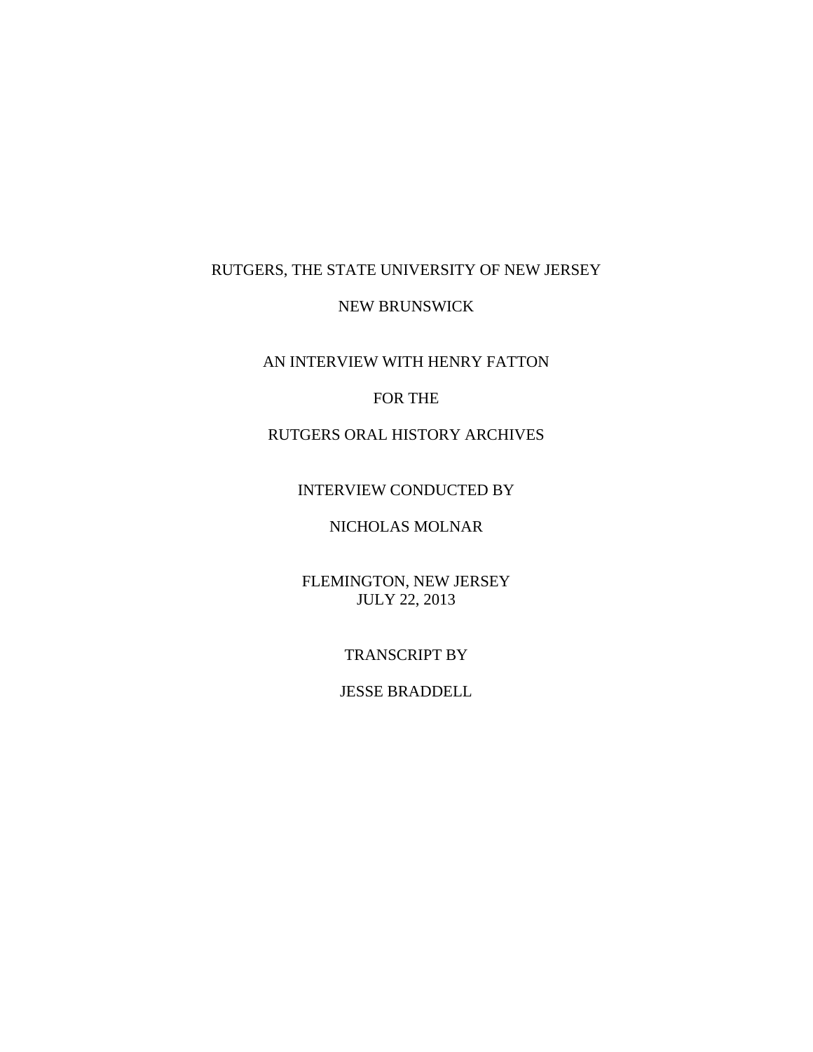# RUTGERS, THE STATE UNIVERSITY OF NEW JERSEY

### NEW BRUNSWICK

AN INTERVIEW WITH HENRY FATTON

## FOR THE

# RUTGERS ORAL HISTORY ARCHIVES

## INTERVIEW CONDUCTED BY

# NICHOLAS MOLNAR

# FLEMINGTON, NEW JERSEY JULY 22, 2013

### TRANSCRIPT BY

## JESSE BRADDELL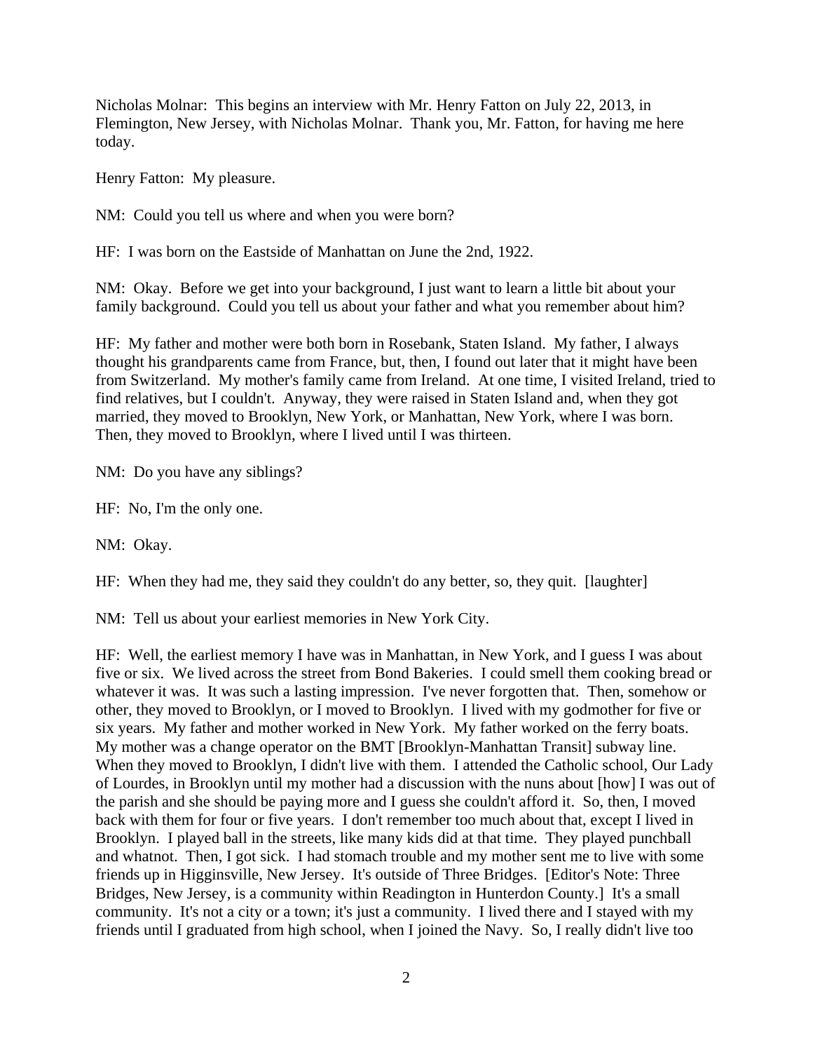Nicholas Molnar: This begins an interview with Mr. Henry Fatton on July 22, 2013, in Flemington, New Jersey, with Nicholas Molnar. Thank you, Mr. Fatton, for having me here today.

Henry Fatton: My pleasure.

NM: Could you tell us where and when you were born?

HF: I was born on the Eastside of Manhattan on June the 2nd, 1922.

NM: Okay. Before we get into your background, I just want to learn a little bit about your family background. Could you tell us about your father and what you remember about him?

HF: My father and mother were both born in Rosebank, Staten Island. My father, I always thought his grandparents came from France, but, then, I found out later that it might have been from Switzerland. My mother's family came from Ireland. At one time, I visited Ireland, tried to find relatives, but I couldn't. Anyway, they were raised in Staten Island and, when they got married, they moved to Brooklyn, New York, or Manhattan, New York, where I was born. Then, they moved to Brooklyn, where I lived until I was thirteen.

NM: Do you have any siblings?

HF: No, I'm the only one.

NM: Okay.

HF: When they had me, they said they couldn't do any better, so, they quit. [laughter]

NM: Tell us about your earliest memories in New York City.

HF: Well, the earliest memory I have was in Manhattan, in New York, and I guess I was about five or six. We lived across the street from Bond Bakeries. I could smell them cooking bread or whatever it was. It was such a lasting impression. I've never forgotten that. Then, somehow or other, they moved to Brooklyn, or I moved to Brooklyn. I lived with my godmother for five or six years. My father and mother worked in New York. My father worked on the ferry boats. My mother was a change operator on the BMT [Brooklyn-Manhattan Transit] subway line. When they moved to Brooklyn, I didn't live with them. I attended the Catholic school, Our Lady of Lourdes, in Brooklyn until my mother had a discussion with the nuns about [how] I was out of the parish and she should be paying more and I guess she couldn't afford it. So, then, I moved back with them for four or five years. I don't remember too much about that, except I lived in Brooklyn. I played ball in the streets, like many kids did at that time. They played punchball and whatnot. Then, I got sick. I had stomach trouble and my mother sent me to live with some friends up in Higginsville, New Jersey. It's outside of Three Bridges. [Editor's Note: Three Bridges, New Jersey, is a community within Readington in Hunterdon County.] It's a small community. It's not a city or a town; it's just a community. I lived there and I stayed with my friends until I graduated from high school, when I joined the Navy. So, I really didn't live too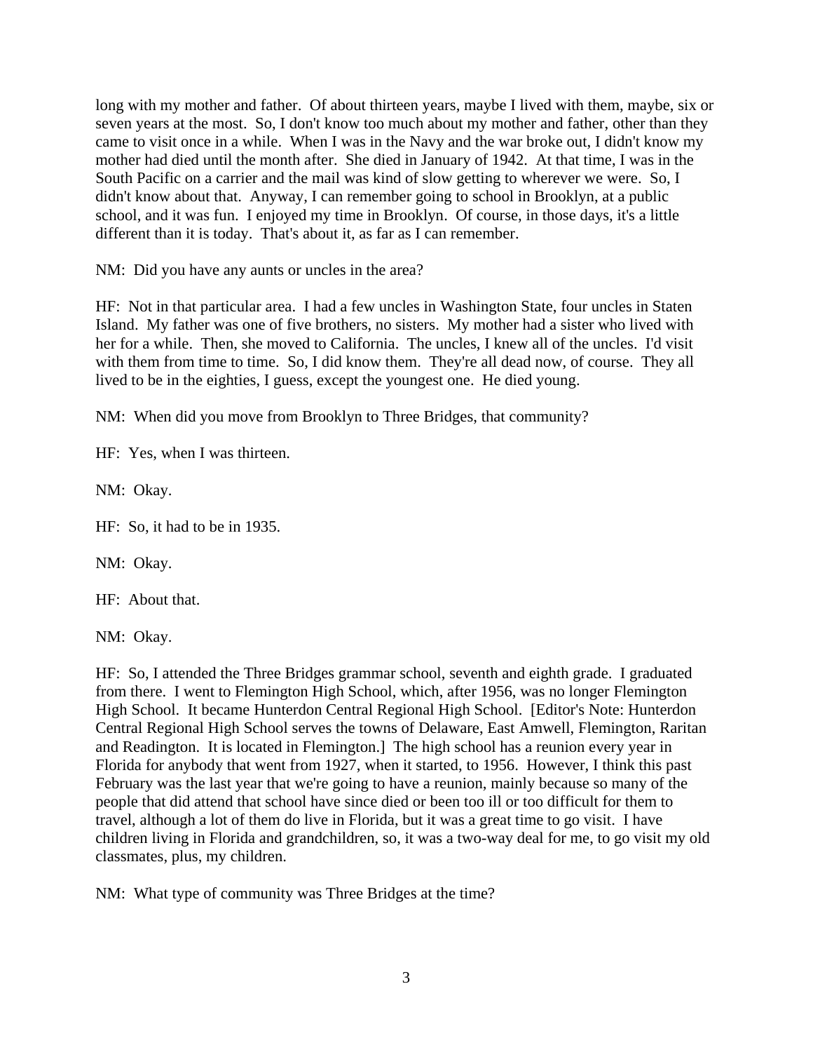long with my mother and father. Of about thirteen years, maybe I lived with them, maybe, six or seven years at the most. So, I don't know too much about my mother and father, other than they came to visit once in a while. When I was in the Navy and the war broke out, I didn't know my mother had died until the month after. She died in January of 1942. At that time, I was in the South Pacific on a carrier and the mail was kind of slow getting to wherever we were. So, I didn't know about that. Anyway, I can remember going to school in Brooklyn, at a public school, and it was fun. I enjoyed my time in Brooklyn. Of course, in those days, it's a little different than it is today. That's about it, as far as I can remember.

NM: Did you have any aunts or uncles in the area?

HF: Not in that particular area. I had a few uncles in Washington State, four uncles in Staten Island. My father was one of five brothers, no sisters. My mother had a sister who lived with her for a while. Then, she moved to California. The uncles, I knew all of the uncles. I'd visit with them from time to time. So, I did know them. They're all dead now, of course. They all lived to be in the eighties, I guess, except the youngest one. He died young.

NM: When did you move from Brooklyn to Three Bridges, that community?

HF: Yes, when I was thirteen.

NM: Okay.

HF: So, it had to be in 1935.

NM: Okay.

HF: About that.

NM: Okay.

HF: So, I attended the Three Bridges grammar school, seventh and eighth grade. I graduated from there. I went to Flemington High School, which, after 1956, was no longer Flemington High School. It became Hunterdon Central Regional High School. [Editor's Note: Hunterdon Central Regional High School serves the towns of Delaware, East Amwell, Flemington, Raritan and Readington. It is located in Flemington.] The high school has a reunion every year in Florida for anybody that went from 1927, when it started, to 1956. However, I think this past February was the last year that we're going to have a reunion, mainly because so many of the people that did attend that school have since died or been too ill or too difficult for them to travel, although a lot of them do live in Florida, but it was a great time to go visit. I have children living in Florida and grandchildren, so, it was a two-way deal for me, to go visit my old classmates, plus, my children.

NM: What type of community was Three Bridges at the time?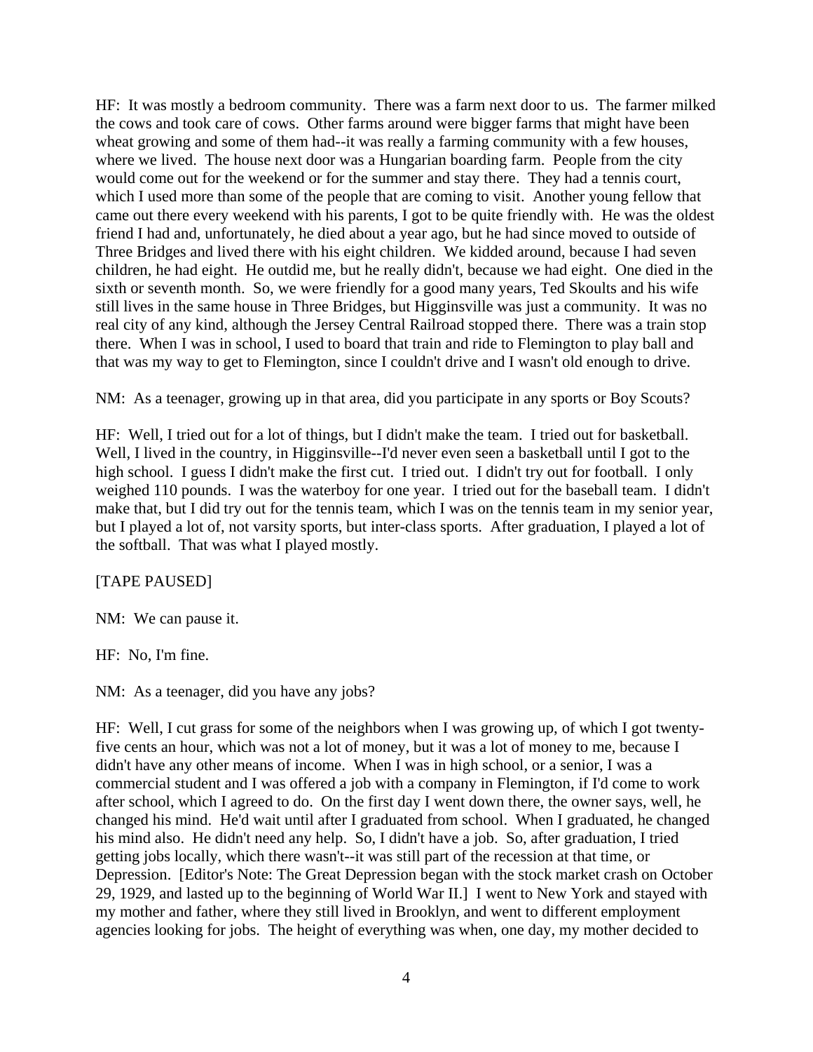HF: It was mostly a bedroom community. There was a farm next door to us. The farmer milked the cows and took care of cows. Other farms around were bigger farms that might have been wheat growing and some of them had--it was really a farming community with a few houses, where we lived. The house next door was a Hungarian boarding farm. People from the city would come out for the weekend or for the summer and stay there. They had a tennis court, which I used more than some of the people that are coming to visit. Another young fellow that came out there every weekend with his parents, I got to be quite friendly with. He was the oldest friend I had and, unfortunately, he died about a year ago, but he had since moved to outside of Three Bridges and lived there with his eight children. We kidded around, because I had seven children, he had eight. He outdid me, but he really didn't, because we had eight. One died in the sixth or seventh month. So, we were friendly for a good many years, Ted Skoults and his wife still lives in the same house in Three Bridges, but Higginsville was just a community. It was no real city of any kind, although the Jersey Central Railroad stopped there. There was a train stop there. When I was in school, I used to board that train and ride to Flemington to play ball and that was my way to get to Flemington, since I couldn't drive and I wasn't old enough to drive.

NM: As a teenager, growing up in that area, did you participate in any sports or Boy Scouts?

HF: Well, I tried out for a lot of things, but I didn't make the team. I tried out for basketball. Well, I lived in the country, in Higginsville--I'd never even seen a basketball until I got to the high school. I guess I didn't make the first cut. I tried out. I didn't try out for football. I only weighed 110 pounds. I was the waterboy for one year. I tried out for the baseball team. I didn't make that, but I did try out for the tennis team, which I was on the tennis team in my senior year, but I played a lot of, not varsity sports, but inter-class sports. After graduation, I played a lot of the softball. That was what I played mostly.

## [TAPE PAUSED]

NM: We can pause it.

HF: No, I'm fine.

NM: As a teenager, did you have any jobs?

HF: Well, I cut grass for some of the neighbors when I was growing up, of which I got twentyfive cents an hour, which was not a lot of money, but it was a lot of money to me, because I didn't have any other means of income. When I was in high school, or a senior, I was a commercial student and I was offered a job with a company in Flemington, if I'd come to work after school, which I agreed to do. On the first day I went down there, the owner says, well, he changed his mind. He'd wait until after I graduated from school. When I graduated, he changed his mind also. He didn't need any help. So, I didn't have a job. So, after graduation, I tried getting jobs locally, which there wasn't--it was still part of the recession at that time, or Depression. [Editor's Note: The Great Depression began with the stock market crash on October 29, 1929, and lasted up to the beginning of World War II.] I went to New York and stayed with my mother and father, where they still lived in Brooklyn, and went to different employment agencies looking for jobs. The height of everything was when, one day, my mother decided to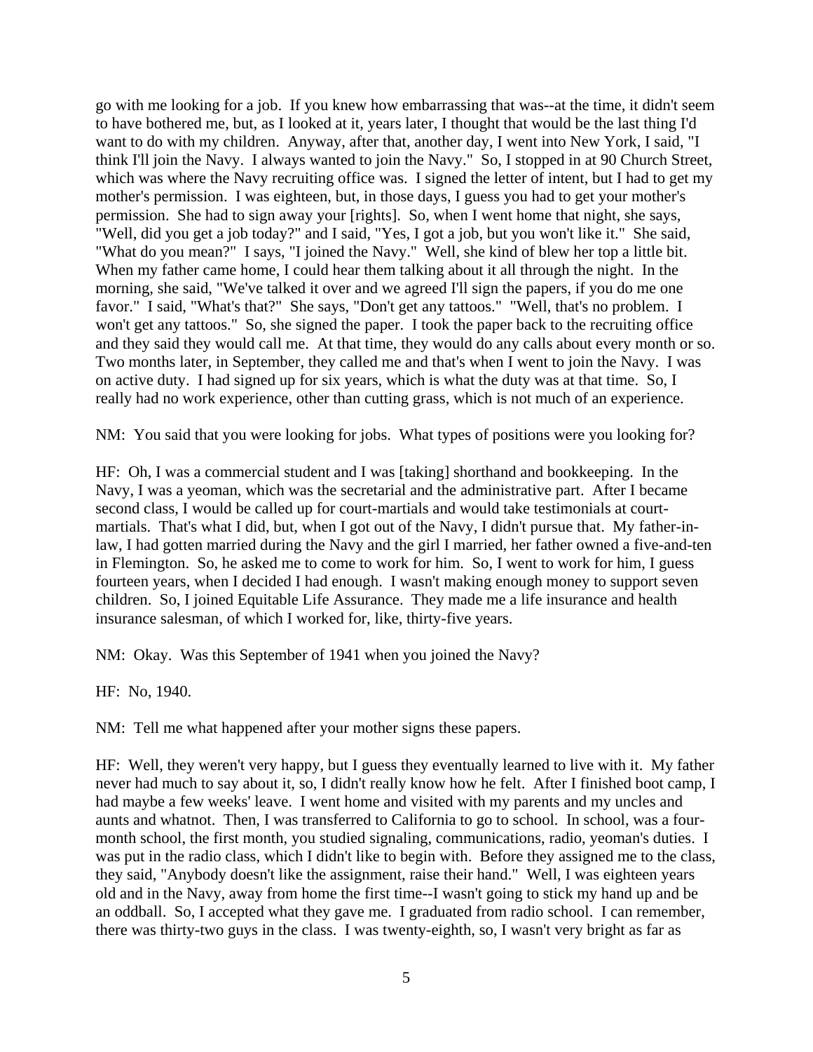go with me looking for a job. If you knew how embarrassing that was--at the time, it didn't seem to have bothered me, but, as I looked at it, years later, I thought that would be the last thing I'd want to do with my children. Anyway, after that, another day, I went into New York, I said, "I think I'll join the Navy. I always wanted to join the Navy." So, I stopped in at 90 Church Street, which was where the Navy recruiting office was. I signed the letter of intent, but I had to get my mother's permission. I was eighteen, but, in those days, I guess you had to get your mother's permission. She had to sign away your [rights]. So, when I went home that night, she says, "Well, did you get a job today?" and I said, "Yes, I got a job, but you won't like it." She said, "What do you mean?" I says, "I joined the Navy." Well, she kind of blew her top a little bit. When my father came home, I could hear them talking about it all through the night. In the morning, she said, "We've talked it over and we agreed I'll sign the papers, if you do me one favor." I said, "What's that?" She says, "Don't get any tattoos." "Well, that's no problem. I won't get any tattoos." So, she signed the paper. I took the paper back to the recruiting office and they said they would call me. At that time, they would do any calls about every month or so. Two months later, in September, they called me and that's when I went to join the Navy. I was on active duty. I had signed up for six years, which is what the duty was at that time. So, I really had no work experience, other than cutting grass, which is not much of an experience.

NM: You said that you were looking for jobs. What types of positions were you looking for?

HF: Oh, I was a commercial student and I was [taking] shorthand and bookkeeping. In the Navy, I was a yeoman, which was the secretarial and the administrative part. After I became second class, I would be called up for court-martials and would take testimonials at courtmartials. That's what I did, but, when I got out of the Navy, I didn't pursue that. My father-inlaw, I had gotten married during the Navy and the girl I married, her father owned a five-and-ten in Flemington. So, he asked me to come to work for him. So, I went to work for him, I guess fourteen years, when I decided I had enough. I wasn't making enough money to support seven children. So, I joined Equitable Life Assurance. They made me a life insurance and health insurance salesman, of which I worked for, like, thirty-five years.

NM: Okay. Was this September of 1941 when you joined the Navy?

HF: No, 1940.

NM: Tell me what happened after your mother signs these papers.

HF: Well, they weren't very happy, but I guess they eventually learned to live with it. My father never had much to say about it, so, I didn't really know how he felt. After I finished boot camp, I had maybe a few weeks' leave. I went home and visited with my parents and my uncles and aunts and whatnot. Then, I was transferred to California to go to school. In school, was a fourmonth school, the first month, you studied signaling, communications, radio, yeoman's duties. I was put in the radio class, which I didn't like to begin with. Before they assigned me to the class, they said, "Anybody doesn't like the assignment, raise their hand." Well, I was eighteen years old and in the Navy, away from home the first time--I wasn't going to stick my hand up and be an oddball. So, I accepted what they gave me. I graduated from radio school. I can remember, there was thirty-two guys in the class. I was twenty-eighth, so, I wasn't very bright as far as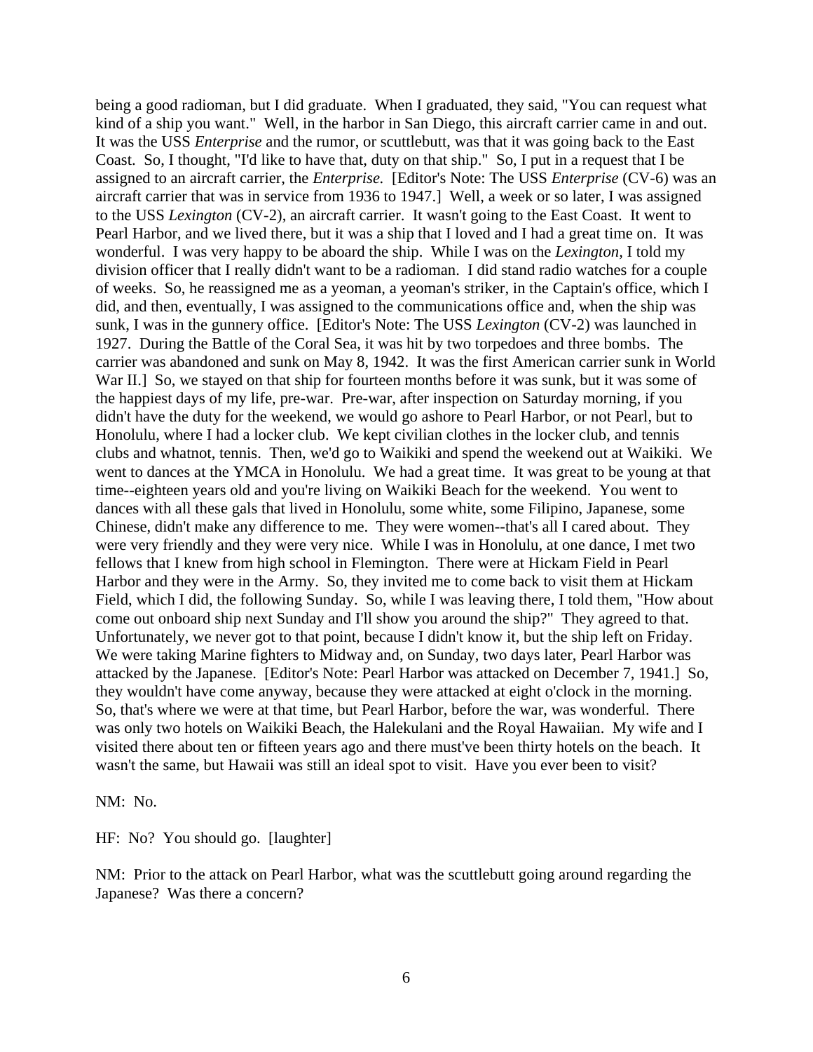being a good radioman, but I did graduate. When I graduated, they said, "You can request what kind of a ship you want." Well, in the harbor in San Diego, this aircraft carrier came in and out. It was the USS *Enterprise* and the rumor, or scuttlebutt, was that it was going back to the East Coast. So, I thought, "I'd like to have that, duty on that ship." So, I put in a request that I be assigned to an aircraft carrier, the *Enterprise.* [Editor's Note: The USS *Enterprise* (CV-6) was an aircraft carrier that was in service from 1936 to 1947.] Well, a week or so later, I was assigned to the USS *Lexington* (CV-2), an aircraft carrier. It wasn't going to the East Coast. It went to Pearl Harbor, and we lived there, but it was a ship that I loved and I had a great time on. It was wonderful. I was very happy to be aboard the ship. While I was on the *Lexington,* I told my division officer that I really didn't want to be a radioman. I did stand radio watches for a couple of weeks. So, he reassigned me as a yeoman, a yeoman's striker, in the Captain's office, which I did, and then, eventually, I was assigned to the communications office and, when the ship was sunk, I was in the gunnery office. [Editor's Note: The USS *Lexington* (CV-2) was launched in 1927. During the Battle of the Coral Sea, it was hit by two torpedoes and three bombs. The carrier was abandoned and sunk on May 8, 1942. It was the first American carrier sunk in World War II.] So, we stayed on that ship for fourteen months before it was sunk, but it was some of the happiest days of my life, pre-war. Pre-war, after inspection on Saturday morning, if you didn't have the duty for the weekend, we would go ashore to Pearl Harbor, or not Pearl, but to Honolulu, where I had a locker club. We kept civilian clothes in the locker club, and tennis clubs and whatnot, tennis. Then, we'd go to Waikiki and spend the weekend out at Waikiki. We went to dances at the YMCA in Honolulu. We had a great time. It was great to be young at that time--eighteen years old and you're living on Waikiki Beach for the weekend. You went to dances with all these gals that lived in Honolulu, some white, some Filipino, Japanese, some Chinese, didn't make any difference to me. They were women--that's all I cared about. They were very friendly and they were very nice. While I was in Honolulu, at one dance, I met two fellows that I knew from high school in Flemington. There were at Hickam Field in Pearl Harbor and they were in the Army. So, they invited me to come back to visit them at Hickam Field, which I did, the following Sunday. So, while I was leaving there, I told them, "How about come out onboard ship next Sunday and I'll show you around the ship?" They agreed to that. Unfortunately, we never got to that point, because I didn't know it, but the ship left on Friday. We were taking Marine fighters to Midway and, on Sunday, two days later, Pearl Harbor was attacked by the Japanese. [Editor's Note: Pearl Harbor was attacked on December 7, 1941.] So, they wouldn't have come anyway, because they were attacked at eight o'clock in the morning. So, that's where we were at that time, but Pearl Harbor, before the war, was wonderful. There was only two hotels on Waikiki Beach, the Halekulani and the Royal Hawaiian. My wife and I visited there about ten or fifteen years ago and there must've been thirty hotels on the beach. It wasn't the same, but Hawaii was still an ideal spot to visit. Have you ever been to visit?

NM: No.

HF: No? You should go. [laughter]

NM: Prior to the attack on Pearl Harbor, what was the scuttlebutt going around regarding the Japanese? Was there a concern?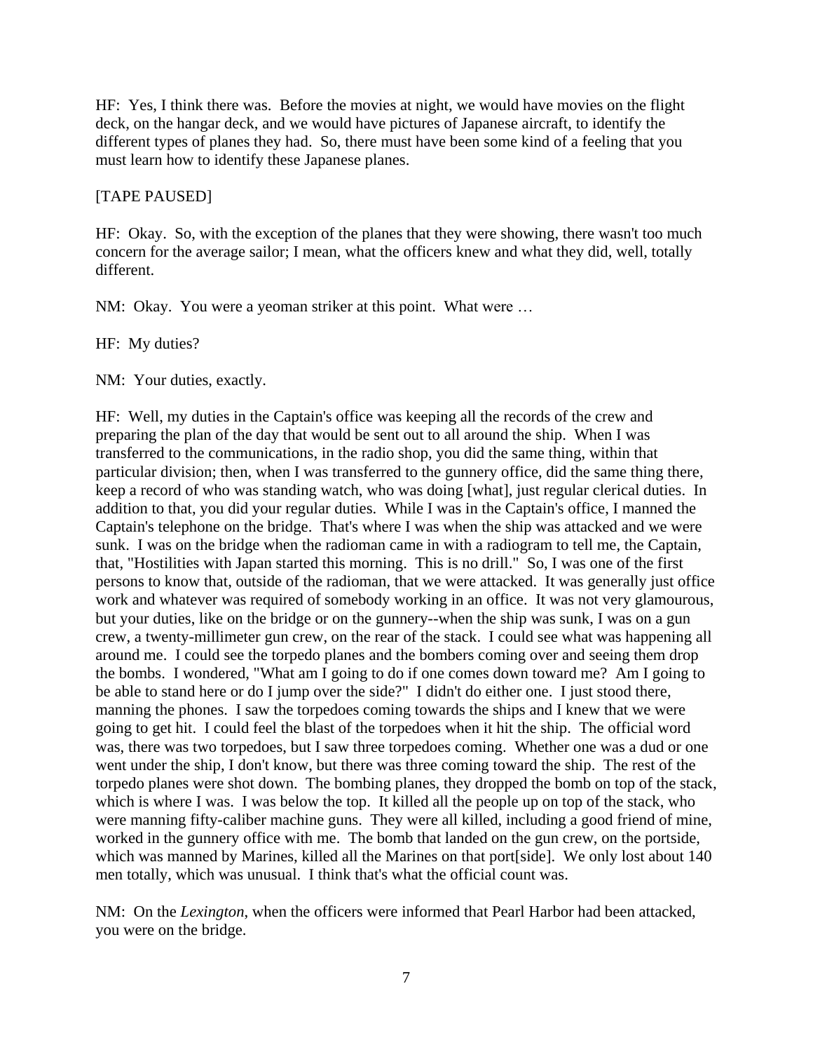HF: Yes, I think there was. Before the movies at night, we would have movies on the flight deck, on the hangar deck, and we would have pictures of Japanese aircraft, to identify the different types of planes they had. So, there must have been some kind of a feeling that you must learn how to identify these Japanese planes.

### [TAPE PAUSED]

HF: Okay. So, with the exception of the planes that they were showing, there wasn't too much concern for the average sailor; I mean, what the officers knew and what they did, well, totally different.

NM: Okay. You were a yeoman striker at this point. What were …

HF: My duties?

NM: Your duties, exactly.

HF: Well, my duties in the Captain's office was keeping all the records of the crew and preparing the plan of the day that would be sent out to all around the ship. When I was transferred to the communications, in the radio shop, you did the same thing, within that particular division; then, when I was transferred to the gunnery office, did the same thing there, keep a record of who was standing watch, who was doing [what], just regular clerical duties. In addition to that, you did your regular duties. While I was in the Captain's office, I manned the Captain's telephone on the bridge. That's where I was when the ship was attacked and we were sunk. I was on the bridge when the radioman came in with a radiogram to tell me, the Captain, that, "Hostilities with Japan started this morning. This is no drill." So, I was one of the first persons to know that, outside of the radioman, that we were attacked. It was generally just office work and whatever was required of somebody working in an office. It was not very glamourous, but your duties, like on the bridge or on the gunnery--when the ship was sunk, I was on a gun crew, a twenty-millimeter gun crew, on the rear of the stack. I could see what was happening all around me. I could see the torpedo planes and the bombers coming over and seeing them drop the bombs. I wondered, "What am I going to do if one comes down toward me? Am I going to be able to stand here or do I jump over the side?" I didn't do either one. I just stood there, manning the phones. I saw the torpedoes coming towards the ships and I knew that we were going to get hit. I could feel the blast of the torpedoes when it hit the ship. The official word was, there was two torpedoes, but I saw three torpedoes coming. Whether one was a dud or one went under the ship, I don't know, but there was three coming toward the ship. The rest of the torpedo planes were shot down. The bombing planes, they dropped the bomb on top of the stack, which is where I was. I was below the top. It killed all the people up on top of the stack, who were manning fifty-caliber machine guns. They were all killed, including a good friend of mine, worked in the gunnery office with me. The bomb that landed on the gun crew, on the portside, which was manned by Marines, killed all the Marines on that port[side]. We only lost about 140 men totally, which was unusual. I think that's what the official count was.

NM: On the *Lexington*, when the officers were informed that Pearl Harbor had been attacked, you were on the bridge.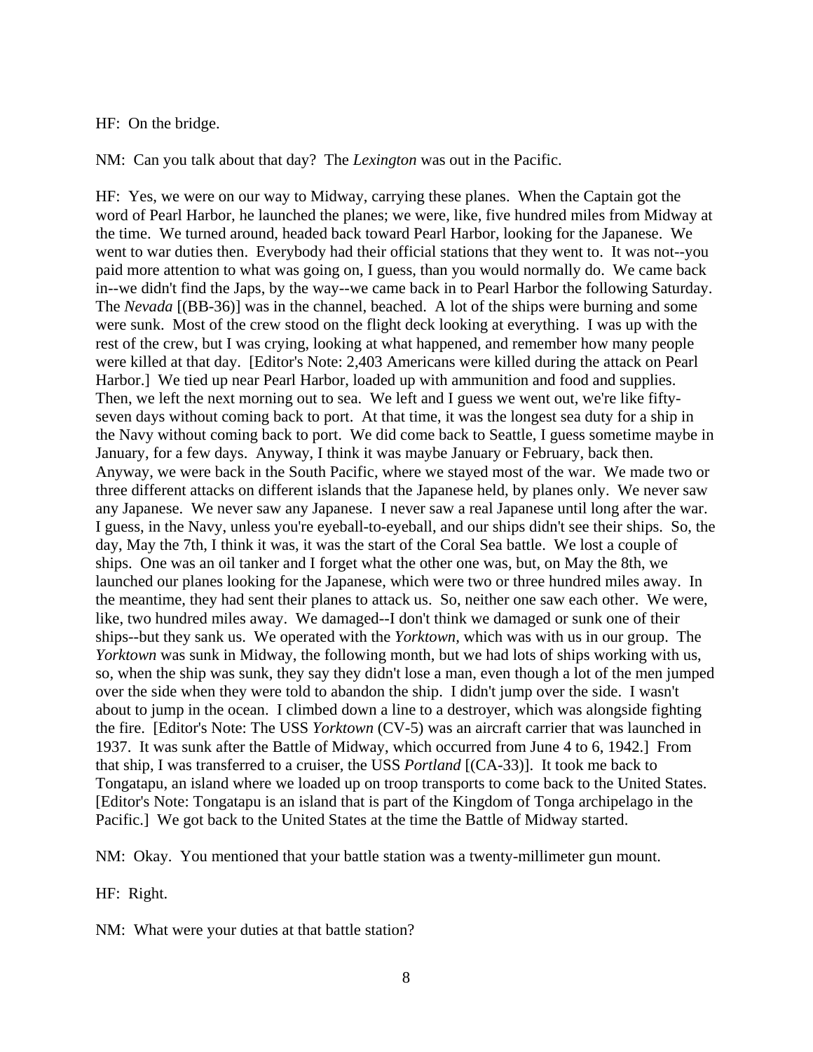### HF: On the bridge.

NM: Can you talk about that day? The *Lexington* was out in the Pacific.

HF: Yes, we were on our way to Midway, carrying these planes. When the Captain got the word of Pearl Harbor, he launched the planes; we were, like, five hundred miles from Midway at the time. We turned around, headed back toward Pearl Harbor, looking for the Japanese. We went to war duties then. Everybody had their official stations that they went to. It was not--you paid more attention to what was going on, I guess, than you would normally do. We came back in--we didn't find the Japs, by the way--we came back in to Pearl Harbor the following Saturday. The *Nevada* [(BB-36)] was in the channel, beached. A lot of the ships were burning and some were sunk. Most of the crew stood on the flight deck looking at everything. I was up with the rest of the crew, but I was crying, looking at what happened, and remember how many people were killed at that day. [Editor's Note: 2,403 Americans were killed during the attack on Pearl Harbor.] We tied up near Pearl Harbor, loaded up with ammunition and food and supplies. Then, we left the next morning out to sea. We left and I guess we went out, we're like fiftyseven days without coming back to port. At that time, it was the longest sea duty for a ship in the Navy without coming back to port. We did come back to Seattle, I guess sometime maybe in January, for a few days. Anyway, I think it was maybe January or February, back then. Anyway, we were back in the South Pacific, where we stayed most of the war. We made two or three different attacks on different islands that the Japanese held, by planes only. We never saw any Japanese. We never saw any Japanese. I never saw a real Japanese until long after the war. I guess, in the Navy, unless you're eyeball-to-eyeball, and our ships didn't see their ships. So, the day, May the 7th, I think it was, it was the start of the Coral Sea battle. We lost a couple of ships. One was an oil tanker and I forget what the other one was, but, on May the 8th, we launched our planes looking for the Japanese, which were two or three hundred miles away. In the meantime, they had sent their planes to attack us. So, neither one saw each other. We were, like, two hundred miles away. We damaged--I don't think we damaged or sunk one of their ships--but they sank us. We operated with the *Yorktown,* which was with us in our group. The *Yorktown* was sunk in Midway, the following month, but we had lots of ships working with us, so, when the ship was sunk, they say they didn't lose a man, even though a lot of the men jumped over the side when they were told to abandon the ship. I didn't jump over the side. I wasn't about to jump in the ocean. I climbed down a line to a destroyer, which was alongside fighting the fire. [Editor's Note: The USS *Yorktown* (CV-5) was an aircraft carrier that was launched in 1937. It was sunk after the Battle of Midway, which occurred from June 4 to 6, 1942.] From that ship, I was transferred to a cruiser, the USS *Portland* [(CA-33)]. It took me back to Tongatapu, an island where we loaded up on troop transports to come back to the United States. [Editor's Note: Tongatapu is an island that is part of the Kingdom of Tonga archipelago in the Pacific.] We got back to the United States at the time the Battle of Midway started.

NM: Okay. You mentioned that your battle station was a twenty-millimeter gun mount.

HF: Right.

NM: What were your duties at that battle station?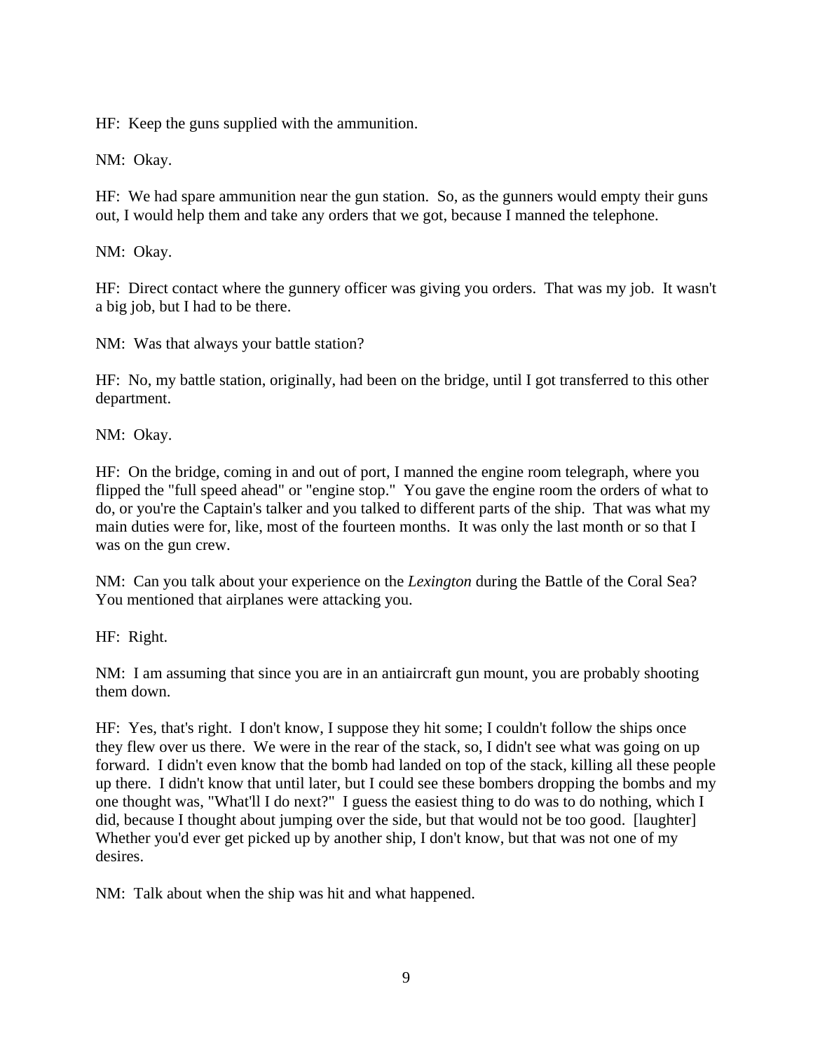HF: Keep the guns supplied with the ammunition.

NM: Okay.

HF: We had spare ammunition near the gun station. So, as the gunners would empty their guns out, I would help them and take any orders that we got, because I manned the telephone.

NM: Okay.

HF: Direct contact where the gunnery officer was giving you orders. That was my job. It wasn't a big job, but I had to be there.

NM: Was that always your battle station?

HF: No, my battle station, originally, had been on the bridge, until I got transferred to this other department.

NM: Okay.

HF: On the bridge, coming in and out of port, I manned the engine room telegraph, where you flipped the "full speed ahead" or "engine stop." You gave the engine room the orders of what to do, or you're the Captain's talker and you talked to different parts of the ship. That was what my main duties were for, like, most of the fourteen months. It was only the last month or so that I was on the gun crew.

NM: Can you talk about your experience on the *Lexington* during the Battle of the Coral Sea? You mentioned that airplanes were attacking you.

HF: Right.

NM: I am assuming that since you are in an antiaircraft gun mount, you are probably shooting them down.

HF: Yes, that's right. I don't know, I suppose they hit some; I couldn't follow the ships once they flew over us there. We were in the rear of the stack, so, I didn't see what was going on up forward. I didn't even know that the bomb had landed on top of the stack, killing all these people up there. I didn't know that until later, but I could see these bombers dropping the bombs and my one thought was, "What'll I do next?" I guess the easiest thing to do was to do nothing, which I did, because I thought about jumping over the side, but that would not be too good. [laughter] Whether you'd ever get picked up by another ship, I don't know, but that was not one of my desires.

NM: Talk about when the ship was hit and what happened.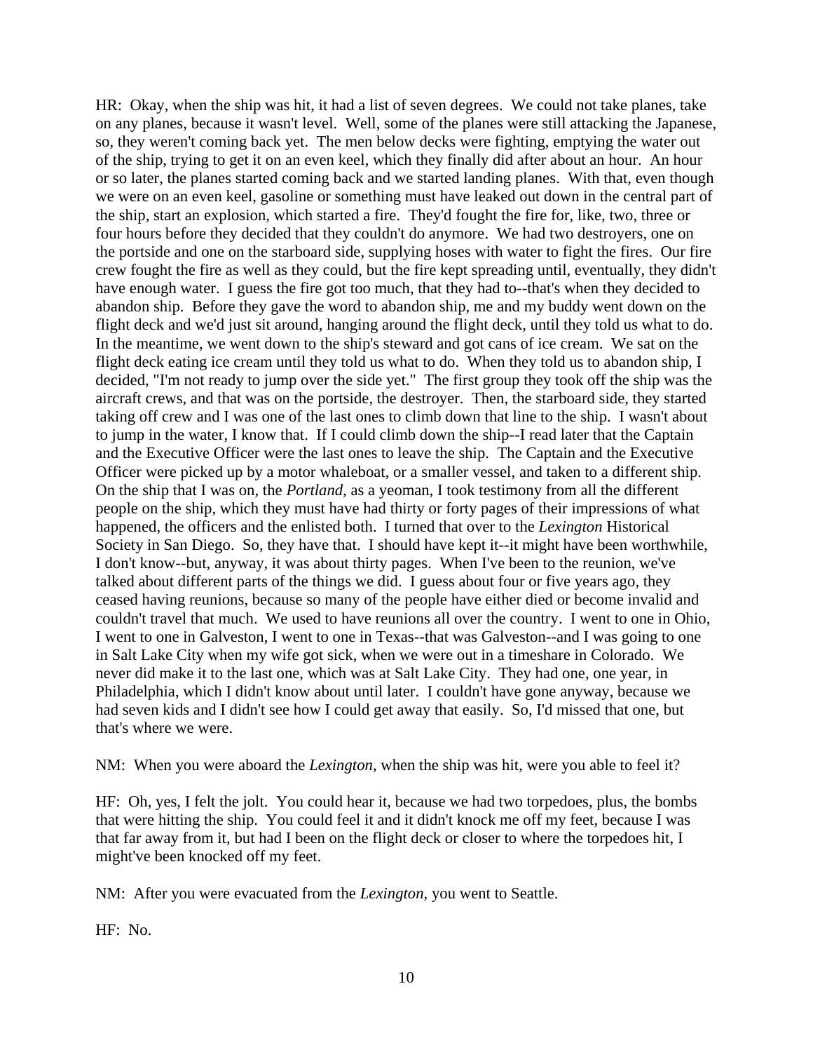HR: Okay, when the ship was hit, it had a list of seven degrees. We could not take planes, take on any planes, because it wasn't level. Well, some of the planes were still attacking the Japanese, so, they weren't coming back yet. The men below decks were fighting, emptying the water out of the ship, trying to get it on an even keel, which they finally did after about an hour. An hour or so later, the planes started coming back and we started landing planes. With that, even though we were on an even keel, gasoline or something must have leaked out down in the central part of the ship, start an explosion, which started a fire. They'd fought the fire for, like, two, three or four hours before they decided that they couldn't do anymore. We had two destroyers, one on the portside and one on the starboard side, supplying hoses with water to fight the fires. Our fire crew fought the fire as well as they could, but the fire kept spreading until, eventually, they didn't have enough water. I guess the fire got too much, that they had to--that's when they decided to abandon ship. Before they gave the word to abandon ship, me and my buddy went down on the flight deck and we'd just sit around, hanging around the flight deck, until they told us what to do. In the meantime, we went down to the ship's steward and got cans of ice cream. We sat on the flight deck eating ice cream until they told us what to do. When they told us to abandon ship, I decided, "I'm not ready to jump over the side yet." The first group they took off the ship was the aircraft crews, and that was on the portside, the destroyer. Then, the starboard side, they started taking off crew and I was one of the last ones to climb down that line to the ship. I wasn't about to jump in the water, I know that. If I could climb down the ship--I read later that the Captain and the Executive Officer were the last ones to leave the ship. The Captain and the Executive Officer were picked up by a motor whaleboat, or a smaller vessel, and taken to a different ship. On the ship that I was on, the *Portland,* as a yeoman, I took testimony from all the different people on the ship, which they must have had thirty or forty pages of their impressions of what happened, the officers and the enlisted both. I turned that over to the *Lexington* Historical Society in San Diego. So, they have that. I should have kept it--it might have been worthwhile, I don't know--but, anyway, it was about thirty pages. When I've been to the reunion, we've talked about different parts of the things we did. I guess about four or five years ago, they ceased having reunions, because so many of the people have either died or become invalid and couldn't travel that much. We used to have reunions all over the country. I went to one in Ohio, I went to one in Galveston, I went to one in Texas--that was Galveston--and I was going to one in Salt Lake City when my wife got sick, when we were out in a timeshare in Colorado. We never did make it to the last one, which was at Salt Lake City. They had one, one year, in Philadelphia, which I didn't know about until later. I couldn't have gone anyway, because we had seven kids and I didn't see how I could get away that easily. So, I'd missed that one, but that's where we were.

NM: When you were aboard the *Lexington*, when the ship was hit, were you able to feel it?

HF: Oh, yes, I felt the jolt. You could hear it, because we had two torpedoes, plus, the bombs that were hitting the ship. You could feel it and it didn't knock me off my feet, because I was that far away from it, but had I been on the flight deck or closer to where the torpedoes hit, I might've been knocked off my feet.

NM: After you were evacuated from the *Lexington,* you went to Seattle.

HF: No.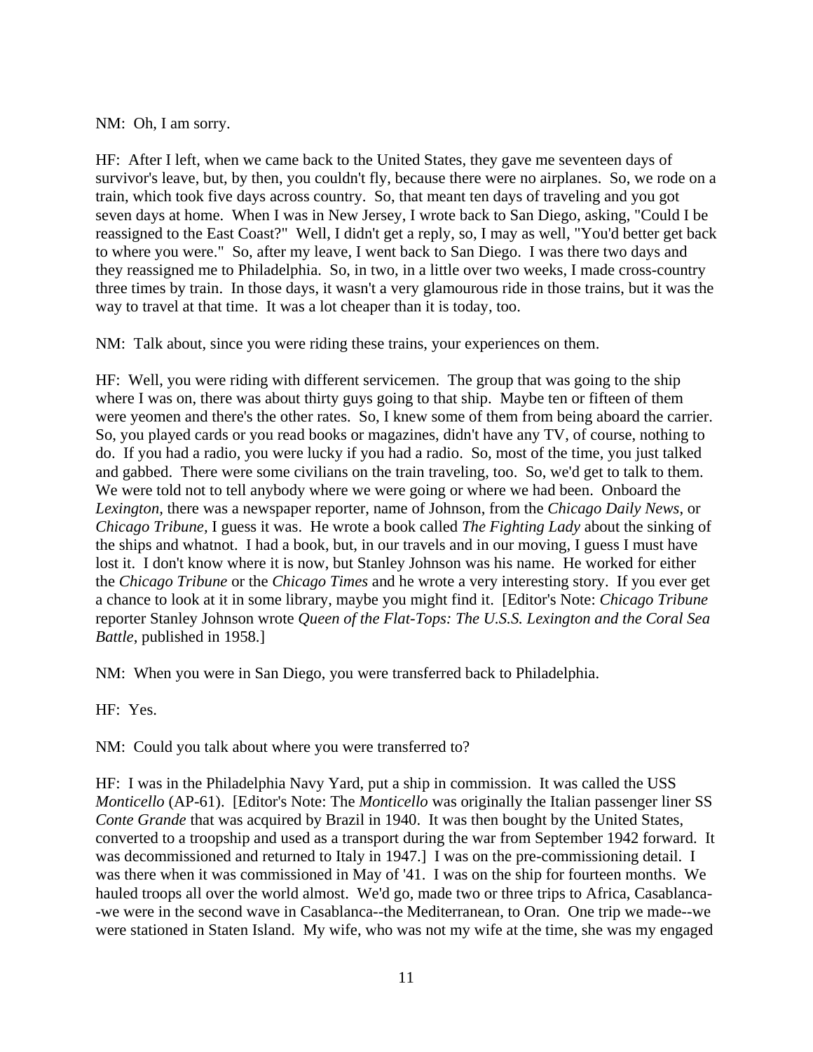NM: Oh, I am sorry.

HF: After I left, when we came back to the United States, they gave me seventeen days of survivor's leave, but, by then, you couldn't fly, because there were no airplanes. So, we rode on a train, which took five days across country. So, that meant ten days of traveling and you got seven days at home. When I was in New Jersey, I wrote back to San Diego, asking, "Could I be reassigned to the East Coast?" Well, I didn't get a reply, so, I may as well, "You'd better get back to where you were." So, after my leave, I went back to San Diego. I was there two days and they reassigned me to Philadelphia. So, in two, in a little over two weeks, I made cross-country three times by train. In those days, it wasn't a very glamourous ride in those trains, but it was the way to travel at that time. It was a lot cheaper than it is today, too.

NM: Talk about, since you were riding these trains, your experiences on them.

HF: Well, you were riding with different servicemen. The group that was going to the ship where I was on, there was about thirty guys going to that ship. Maybe ten or fifteen of them were yeomen and there's the other rates. So, I knew some of them from being aboard the carrier. So, you played cards or you read books or magazines, didn't have any TV, of course, nothing to do. If you had a radio, you were lucky if you had a radio. So, most of the time, you just talked and gabbed. There were some civilians on the train traveling, too. So, we'd get to talk to them. We were told not to tell anybody where we were going or where we had been. Onboard the *Lexington,* there was a newspaper reporter, name of Johnson, from the *Chicago Daily News*, or *Chicago Tribune,* I guess it was. He wrote a book called *The Fighting Lady* about the sinking of the ships and whatnot. I had a book, but, in our travels and in our moving, I guess I must have lost it. I don't know where it is now, but Stanley Johnson was his name. He worked for either the *Chicago Tribune* or the *Chicago Times* and he wrote a very interesting story. If you ever get a chance to look at it in some library, maybe you might find it. [Editor's Note: *Chicago Tribune* reporter Stanley Johnson wrote *Queen of the Flat-Tops: The U.S.S. Lexington and the Coral Sea Battle*, published in 1958.]

NM: When you were in San Diego, you were transferred back to Philadelphia.

HF: Yes.

NM: Could you talk about where you were transferred to?

HF: I was in the Philadelphia Navy Yard, put a ship in commission. It was called the USS *Monticello* (AP-61). [Editor's Note: The *Monticello* was originally the Italian passenger liner SS *Conte Grande* that was acquired by Brazil in 1940. It was then bought by the United States, converted to a troopship and used as a transport during the war from September 1942 forward. It was decommissioned and returned to Italy in 1947.] I was on the pre-commissioning detail. I was there when it was commissioned in May of '41. I was on the ship for fourteen months. We hauled troops all over the world almost. We'd go, made two or three trips to Africa, Casablanca- -we were in the second wave in Casablanca--the Mediterranean, to Oran. One trip we made--we were stationed in Staten Island. My wife, who was not my wife at the time, she was my engaged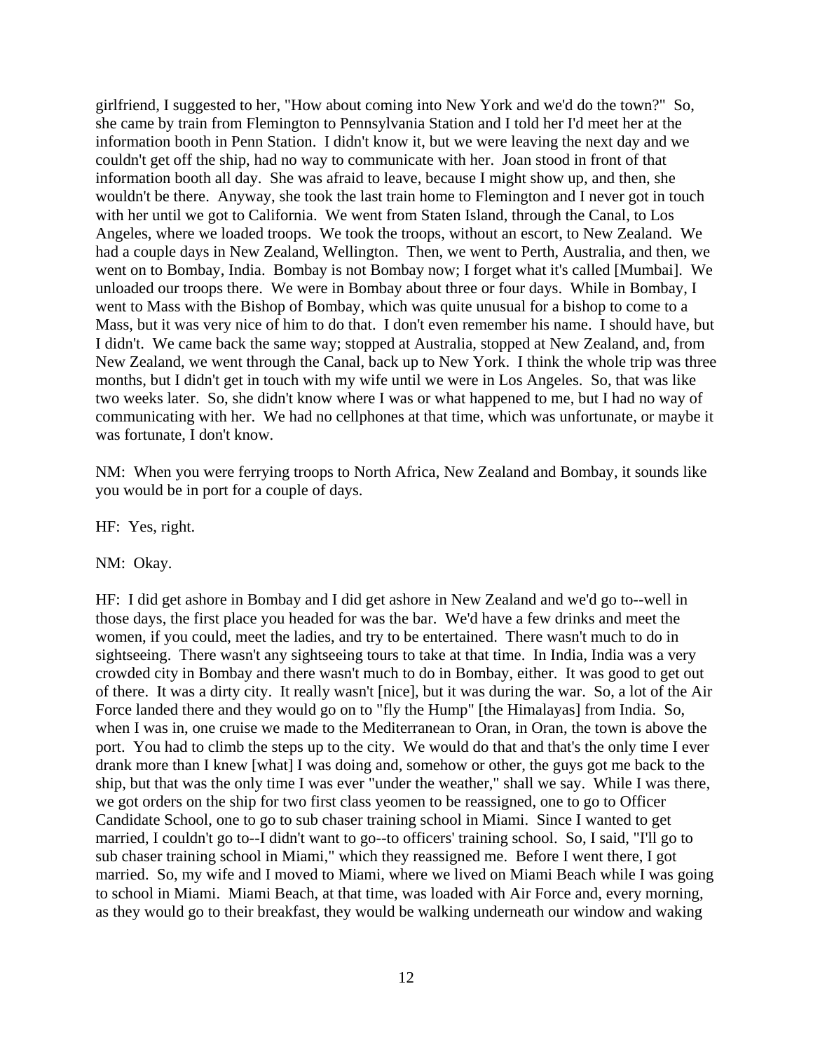girlfriend, I suggested to her, "How about coming into New York and we'd do the town?" So, she came by train from Flemington to Pennsylvania Station and I told her I'd meet her at the information booth in Penn Station. I didn't know it, but we were leaving the next day and we couldn't get off the ship, had no way to communicate with her. Joan stood in front of that information booth all day. She was afraid to leave, because I might show up, and then, she wouldn't be there. Anyway, she took the last train home to Flemington and I never got in touch with her until we got to California. We went from Staten Island, through the Canal, to Los Angeles, where we loaded troops. We took the troops, without an escort, to New Zealand. We had a couple days in New Zealand, Wellington. Then, we went to Perth, Australia, and then, we went on to Bombay, India. Bombay is not Bombay now; I forget what it's called [Mumbai]. We unloaded our troops there. We were in Bombay about three or four days. While in Bombay, I went to Mass with the Bishop of Bombay, which was quite unusual for a bishop to come to a Mass, but it was very nice of him to do that. I don't even remember his name. I should have, but I didn't. We came back the same way; stopped at Australia, stopped at New Zealand, and, from New Zealand, we went through the Canal, back up to New York. I think the whole trip was three months, but I didn't get in touch with my wife until we were in Los Angeles. So, that was like two weeks later. So, she didn't know where I was or what happened to me, but I had no way of communicating with her. We had no cellphones at that time, which was unfortunate, or maybe it was fortunate, I don't know.

NM: When you were ferrying troops to North Africa, New Zealand and Bombay, it sounds like you would be in port for a couple of days.

HF: Yes, right.

NM: Okay.

HF: I did get ashore in Bombay and I did get ashore in New Zealand and we'd go to--well in those days, the first place you headed for was the bar. We'd have a few drinks and meet the women, if you could, meet the ladies, and try to be entertained. There wasn't much to do in sightseeing. There wasn't any sightseeing tours to take at that time. In India, India was a very crowded city in Bombay and there wasn't much to do in Bombay, either. It was good to get out of there. It was a dirty city. It really wasn't [nice], but it was during the war. So, a lot of the Air Force landed there and they would go on to "fly the Hump" [the Himalayas] from India. So, when I was in, one cruise we made to the Mediterranean to Oran, in Oran, the town is above the port. You had to climb the steps up to the city. We would do that and that's the only time I ever drank more than I knew [what] I was doing and, somehow or other, the guys got me back to the ship, but that was the only time I was ever "under the weather," shall we say. While I was there, we got orders on the ship for two first class yeomen to be reassigned, one to go to Officer Candidate School, one to go to sub chaser training school in Miami. Since I wanted to get married, I couldn't go to--I didn't want to go--to officers' training school. So, I said, "I'll go to sub chaser training school in Miami," which they reassigned me. Before I went there, I got married. So, my wife and I moved to Miami, where we lived on Miami Beach while I was going to school in Miami. Miami Beach, at that time, was loaded with Air Force and, every morning, as they would go to their breakfast, they would be walking underneath our window and waking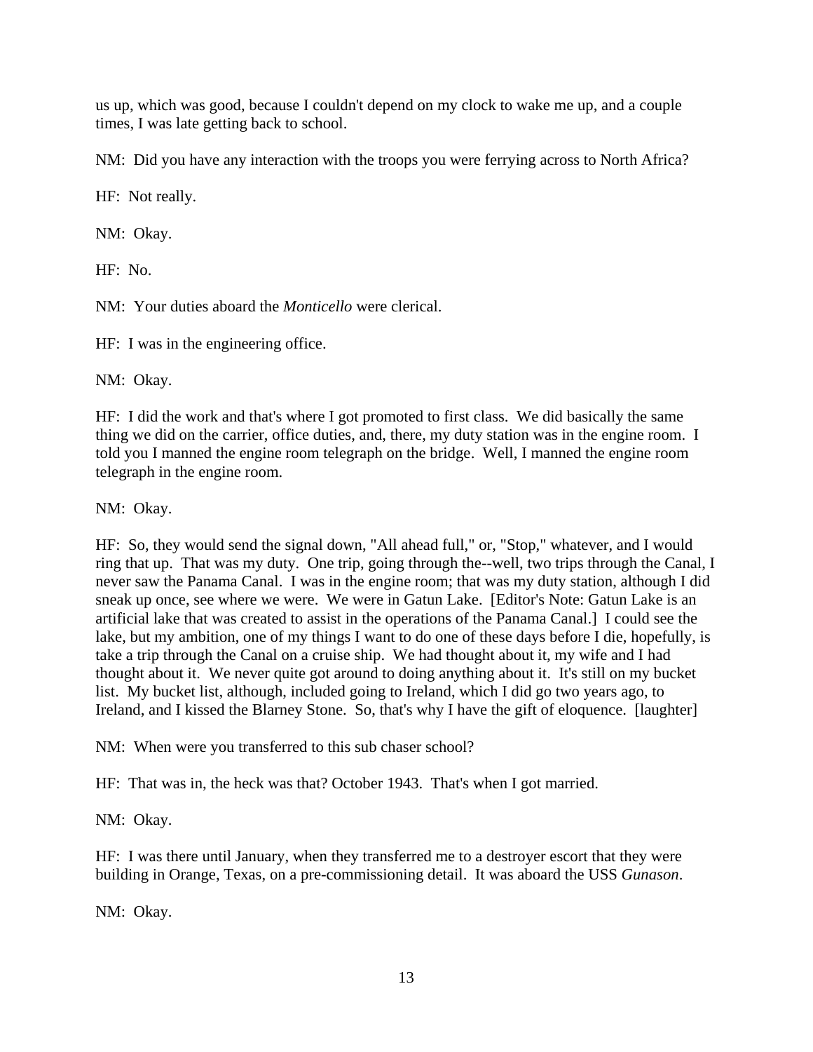us up, which was good, because I couldn't depend on my clock to wake me up, and a couple times, I was late getting back to school.

NM: Did you have any interaction with the troops you were ferrying across to North Africa?

HF: Not really.

NM: Okay.

HF: No.

NM: Your duties aboard the *Monticello* were clerical.

HF: I was in the engineering office.

NM: Okay.

HF: I did the work and that's where I got promoted to first class. We did basically the same thing we did on the carrier, office duties, and, there, my duty station was in the engine room. I told you I manned the engine room telegraph on the bridge. Well, I manned the engine room telegraph in the engine room.

NM: Okay.

HF: So, they would send the signal down, "All ahead full," or, "Stop," whatever, and I would ring that up. That was my duty. One trip, going through the--well, two trips through the Canal, I never saw the Panama Canal. I was in the engine room; that was my duty station, although I did sneak up once, see where we were. We were in Gatun Lake. [Editor's Note: Gatun Lake is an artificial lake that was created to assist in the operations of the Panama Canal.] I could see the lake, but my ambition, one of my things I want to do one of these days before I die, hopefully, is take a trip through the Canal on a cruise ship. We had thought about it, my wife and I had thought about it. We never quite got around to doing anything about it. It's still on my bucket list. My bucket list, although, included going to Ireland, which I did go two years ago, to Ireland, and I kissed the Blarney Stone. So, that's why I have the gift of eloquence. [laughter]

NM: When were you transferred to this sub chaser school?

HF: That was in, the heck was that? October 1943. That's when I got married.

NM: Okay.

HF: I was there until January, when they transferred me to a destroyer escort that they were building in Orange, Texas, on a pre-commissioning detail. It was aboard the USS *Gunason*.

NM: Okay.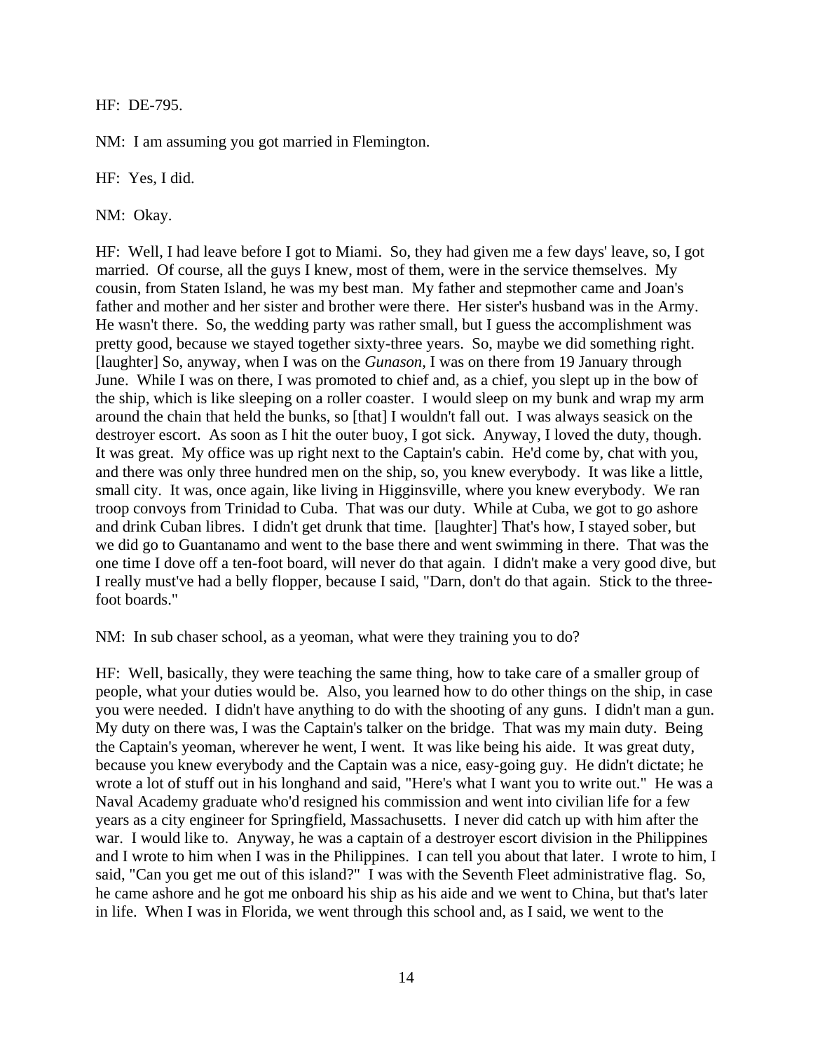HF: DE-795.

NM: I am assuming you got married in Flemington.

HF: Yes, I did.

NM: Okay.

HF: Well, I had leave before I got to Miami. So, they had given me a few days' leave, so, I got married. Of course, all the guys I knew, most of them, were in the service themselves. My cousin, from Staten Island, he was my best man. My father and stepmother came and Joan's father and mother and her sister and brother were there. Her sister's husband was in the Army. He wasn't there. So, the wedding party was rather small, but I guess the accomplishment was pretty good, because we stayed together sixty-three years. So, maybe we did something right. [laughter] So, anyway, when I was on the *Gunason,* I was on there from 19 January through June. While I was on there, I was promoted to chief and, as a chief, you slept up in the bow of the ship, which is like sleeping on a roller coaster. I would sleep on my bunk and wrap my arm around the chain that held the bunks, so [that] I wouldn't fall out. I was always seasick on the destroyer escort. As soon as I hit the outer buoy, I got sick. Anyway, I loved the duty, though. It was great. My office was up right next to the Captain's cabin. He'd come by, chat with you, and there was only three hundred men on the ship, so, you knew everybody. It was like a little, small city. It was, once again, like living in Higginsville, where you knew everybody. We ran troop convoys from Trinidad to Cuba. That was our duty. While at Cuba, we got to go ashore and drink Cuban libres. I didn't get drunk that time. [laughter] That's how, I stayed sober, but we did go to Guantanamo and went to the base there and went swimming in there. That was the one time I dove off a ten-foot board, will never do that again. I didn't make a very good dive, but I really must've had a belly flopper, because I said, "Darn, don't do that again. Stick to the threefoot boards."

NM: In sub chaser school, as a yeoman, what were they training you to do?

HF: Well, basically, they were teaching the same thing, how to take care of a smaller group of people, what your duties would be. Also, you learned how to do other things on the ship, in case you were needed. I didn't have anything to do with the shooting of any guns. I didn't man a gun. My duty on there was, I was the Captain's talker on the bridge. That was my main duty. Being the Captain's yeoman, wherever he went, I went. It was like being his aide. It was great duty, because you knew everybody and the Captain was a nice, easy-going guy. He didn't dictate; he wrote a lot of stuff out in his longhand and said, "Here's what I want you to write out." He was a Naval Academy graduate who'd resigned his commission and went into civilian life for a few years as a city engineer for Springfield, Massachusetts. I never did catch up with him after the war. I would like to. Anyway, he was a captain of a destroyer escort division in the Philippines and I wrote to him when I was in the Philippines. I can tell you about that later. I wrote to him, I said, "Can you get me out of this island?" I was with the Seventh Fleet administrative flag. So, he came ashore and he got me onboard his ship as his aide and we went to China, but that's later in life. When I was in Florida, we went through this school and, as I said, we went to the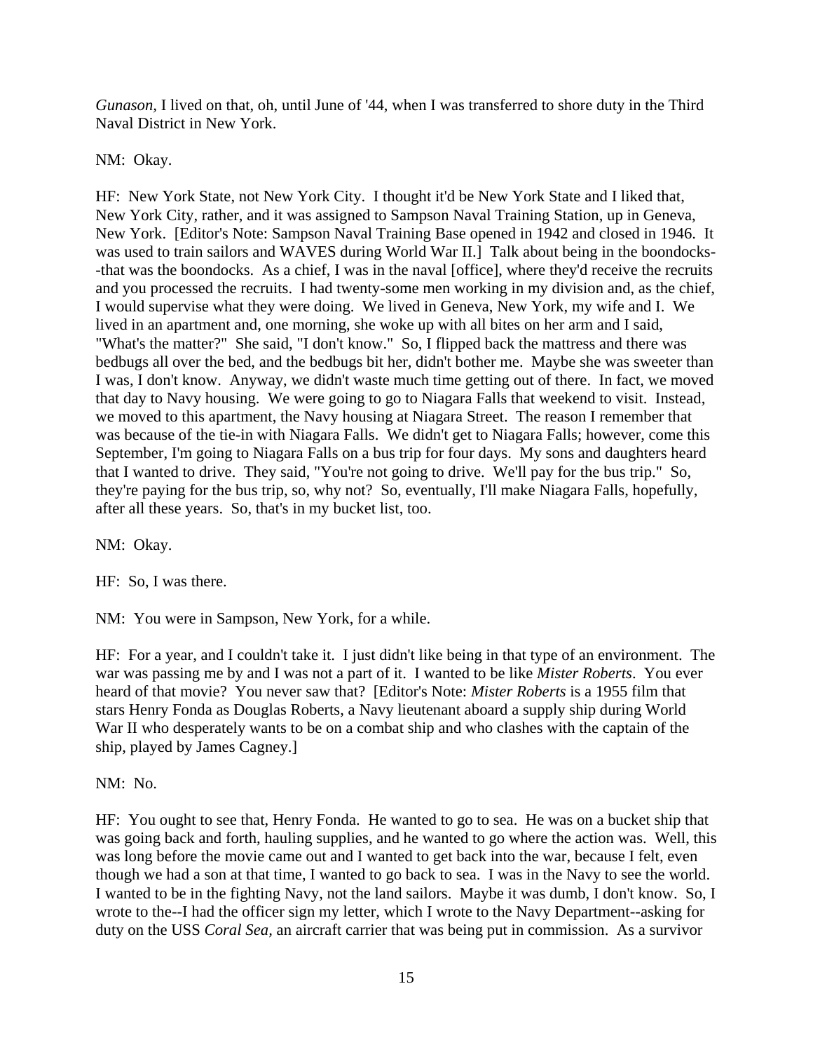*Gunason,* I lived on that, oh, until June of '44, when I was transferred to shore duty in the Third Naval District in New York.

NM: Okay.

HF: New York State, not New York City. I thought it'd be New York State and I liked that, New York City, rather, and it was assigned to Sampson Naval Training Station, up in Geneva, New York. [Editor's Note: Sampson Naval Training Base opened in 1942 and closed in 1946. It was used to train sailors and WAVES during World War II.] Talk about being in the boondocks- -that was the boondocks. As a chief, I was in the naval [office], where they'd receive the recruits and you processed the recruits. I had twenty-some men working in my division and, as the chief, I would supervise what they were doing. We lived in Geneva, New York, my wife and I. We lived in an apartment and, one morning, she woke up with all bites on her arm and I said, "What's the matter?" She said, "I don't know." So, I flipped back the mattress and there was bedbugs all over the bed, and the bedbugs bit her, didn't bother me. Maybe she was sweeter than I was, I don't know. Anyway, we didn't waste much time getting out of there. In fact, we moved that day to Navy housing. We were going to go to Niagara Falls that weekend to visit. Instead, we moved to this apartment, the Navy housing at Niagara Street. The reason I remember that was because of the tie-in with Niagara Falls. We didn't get to Niagara Falls; however, come this September, I'm going to Niagara Falls on a bus trip for four days. My sons and daughters heard that I wanted to drive. They said, "You're not going to drive. We'll pay for the bus trip." So, they're paying for the bus trip, so, why not? So, eventually, I'll make Niagara Falls, hopefully, after all these years. So, that's in my bucket list, too.

NM: Okay.

HF: So, I was there.

NM: You were in Sampson, New York, for a while.

HF: For a year, and I couldn't take it. I just didn't like being in that type of an environment. The war was passing me by and I was not a part of it. I wanted to be like *Mister Roberts*. You ever heard of that movie? You never saw that? [Editor's Note: *Mister Roberts* is a 1955 film that stars Henry Fonda as Douglas Roberts, a Navy lieutenant aboard a supply ship during World War II who desperately wants to be on a combat ship and who clashes with the captain of the ship, played by James Cagney.]

NM: No.

HF: You ought to see that, Henry Fonda. He wanted to go to sea. He was on a bucket ship that was going back and forth, hauling supplies, and he wanted to go where the action was. Well, this was long before the movie came out and I wanted to get back into the war, because I felt, even though we had a son at that time, I wanted to go back to sea. I was in the Navy to see the world. I wanted to be in the fighting Navy, not the land sailors. Maybe it was dumb, I don't know. So, I wrote to the--I had the officer sign my letter, which I wrote to the Navy Department--asking for duty on the USS *Coral Sea,* an aircraft carrier that was being put in commission. As a survivor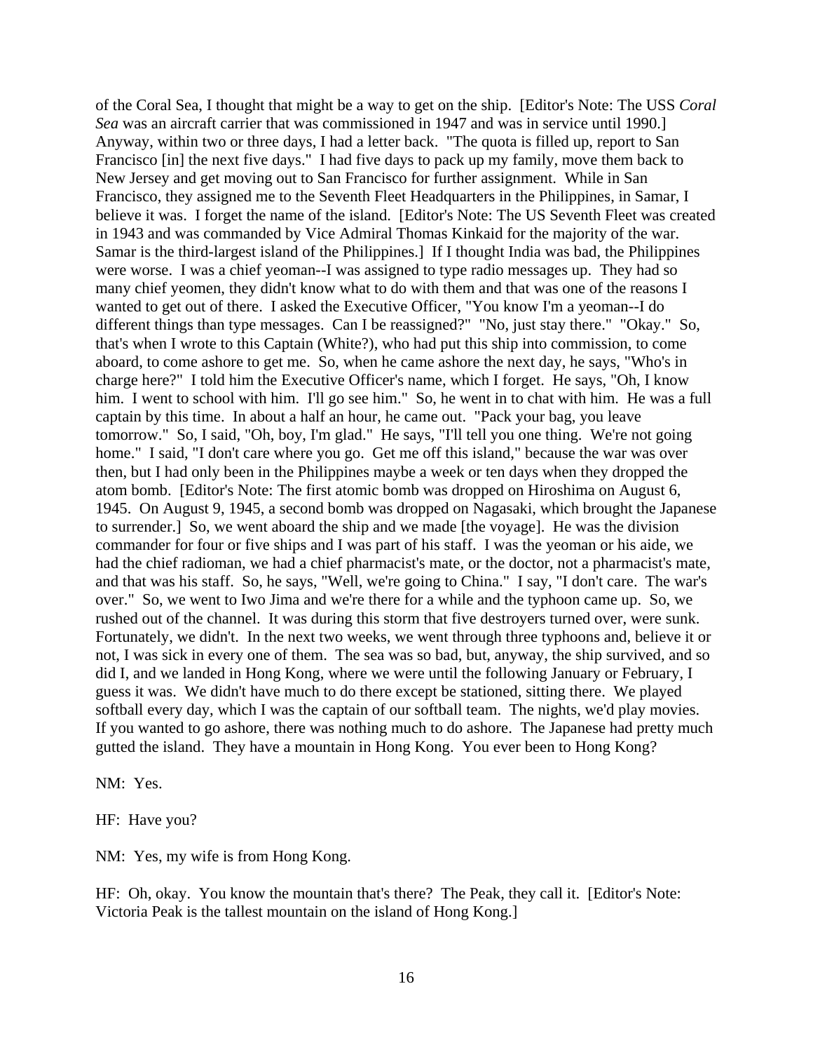of the Coral Sea, I thought that might be a way to get on the ship. [Editor's Note: The USS *Coral Sea* was an aircraft carrier that was commissioned in 1947 and was in service until 1990.] Anyway, within two or three days, I had a letter back. "The quota is filled up, report to San Francisco [in] the next five days." I had five days to pack up my family, move them back to New Jersey and get moving out to San Francisco for further assignment. While in San Francisco, they assigned me to the Seventh Fleet Headquarters in the Philippines, in Samar, I believe it was. I forget the name of the island. [Editor's Note: The US Seventh Fleet was created in 1943 and was commanded by Vice Admiral Thomas Kinkaid for the majority of the war. Samar is the third-largest island of the Philippines.] If I thought India was bad, the Philippines were worse. I was a chief yeoman--I was assigned to type radio messages up. They had so many chief yeomen, they didn't know what to do with them and that was one of the reasons I wanted to get out of there. I asked the Executive Officer, "You know I'm a yeoman--I do different things than type messages. Can I be reassigned?" "No, just stay there." "Okay." So, that's when I wrote to this Captain (White?), who had put this ship into commission, to come aboard, to come ashore to get me. So, when he came ashore the next day, he says, "Who's in charge here?" I told him the Executive Officer's name, which I forget. He says, "Oh, I know him. I went to school with him. I'll go see him." So, he went in to chat with him. He was a full captain by this time. In about a half an hour, he came out. "Pack your bag, you leave tomorrow." So, I said, "Oh, boy, I'm glad." He says, "I'll tell you one thing. We're not going home." I said, "I don't care where you go. Get me off this island," because the war was over then, but I had only been in the Philippines maybe a week or ten days when they dropped the atom bomb. [Editor's Note: The first atomic bomb was dropped on Hiroshima on August 6, 1945. On August 9, 1945, a second bomb was dropped on Nagasaki, which brought the Japanese to surrender.] So, we went aboard the ship and we made [the voyage]. He was the division commander for four or five ships and I was part of his staff. I was the yeoman or his aide, we had the chief radioman, we had a chief pharmacist's mate, or the doctor, not a pharmacist's mate, and that was his staff. So, he says, "Well, we're going to China." I say, "I don't care. The war's over." So, we went to Iwo Jima and we're there for a while and the typhoon came up. So, we rushed out of the channel. It was during this storm that five destroyers turned over, were sunk. Fortunately, we didn't. In the next two weeks, we went through three typhoons and, believe it or not, I was sick in every one of them. The sea was so bad, but, anyway, the ship survived, and so did I, and we landed in Hong Kong, where we were until the following January or February, I guess it was. We didn't have much to do there except be stationed, sitting there. We played softball every day, which I was the captain of our softball team. The nights, we'd play movies. If you wanted to go ashore, there was nothing much to do ashore. The Japanese had pretty much gutted the island. They have a mountain in Hong Kong. You ever been to Hong Kong?

NM: Yes.

HF: Have you?

NM: Yes, my wife is from Hong Kong.

HF: Oh, okay. You know the mountain that's there? The Peak, they call it. [Editor's Note: Victoria Peak is the tallest mountain on the island of Hong Kong.]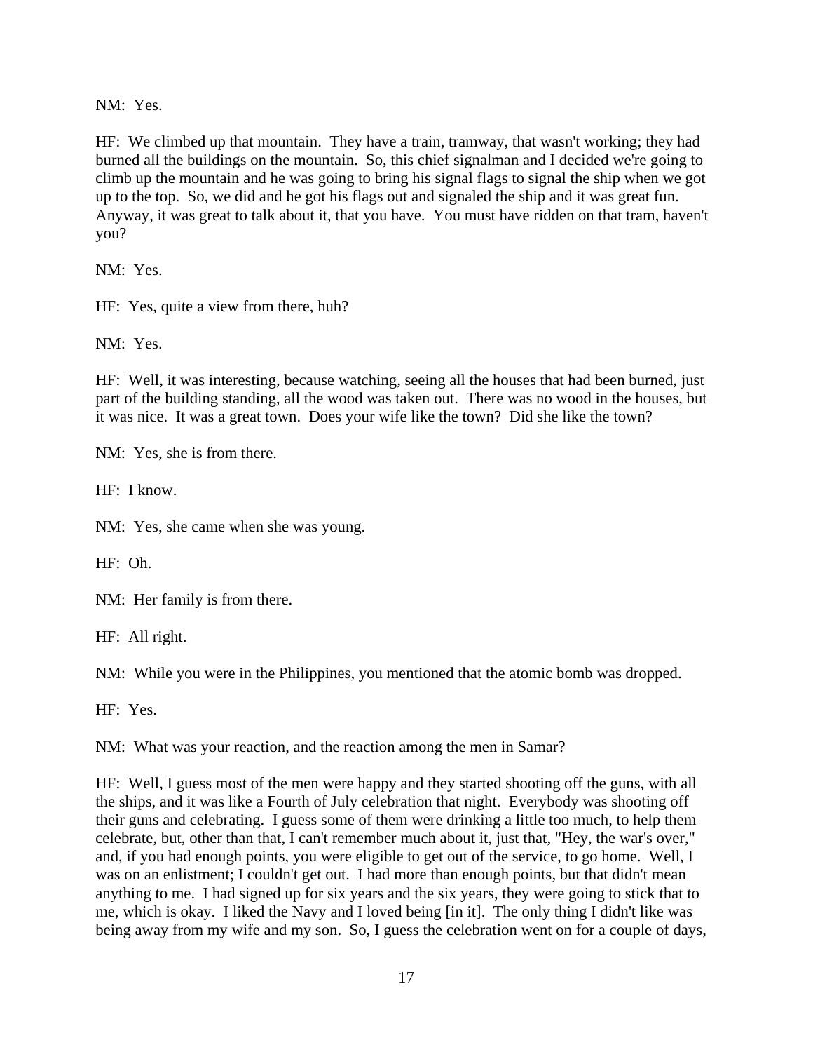NM: Yes.

HF: We climbed up that mountain. They have a train, tramway, that wasn't working; they had burned all the buildings on the mountain. So, this chief signalman and I decided we're going to climb up the mountain and he was going to bring his signal flags to signal the ship when we got up to the top. So, we did and he got his flags out and signaled the ship and it was great fun. Anyway, it was great to talk about it, that you have. You must have ridden on that tram, haven't you?

NM: Yes.

HF: Yes, quite a view from there, huh?

NM: Yes.

HF: Well, it was interesting, because watching, seeing all the houses that had been burned, just part of the building standing, all the wood was taken out. There was no wood in the houses, but it was nice. It was a great town. Does your wife like the town? Did she like the town?

NM: Yes, she is from there.

HF: I know.

NM: Yes, she came when she was young.

HF: Oh.

NM: Her family is from there.

HF: All right.

NM: While you were in the Philippines, you mentioned that the atomic bomb was dropped.

HF: Yes.

NM: What was your reaction, and the reaction among the men in Samar?

HF: Well, I guess most of the men were happy and they started shooting off the guns, with all the ships, and it was like a Fourth of July celebration that night. Everybody was shooting off their guns and celebrating. I guess some of them were drinking a little too much, to help them celebrate, but, other than that, I can't remember much about it, just that, "Hey, the war's over," and, if you had enough points, you were eligible to get out of the service, to go home. Well, I was on an enlistment; I couldn't get out. I had more than enough points, but that didn't mean anything to me. I had signed up for six years and the six years, they were going to stick that to me, which is okay. I liked the Navy and I loved being [in it]. The only thing I didn't like was being away from my wife and my son. So, I guess the celebration went on for a couple of days,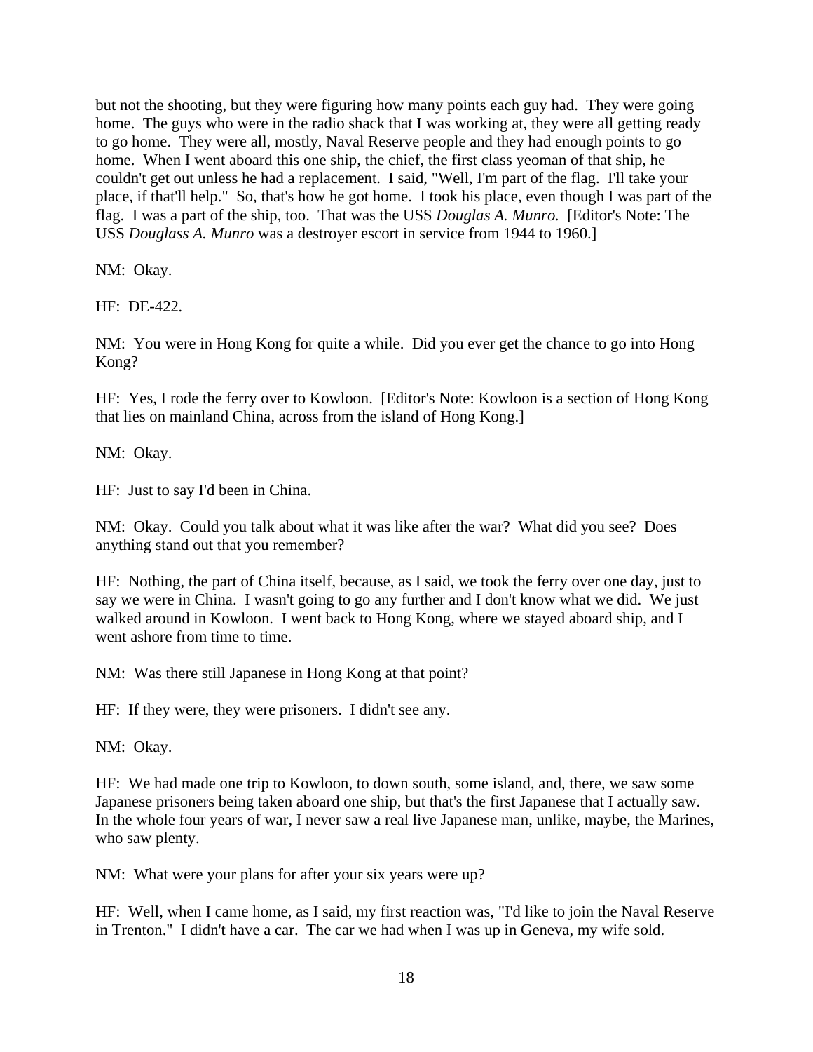but not the shooting, but they were figuring how many points each guy had. They were going home. The guys who were in the radio shack that I was working at, they were all getting ready to go home. They were all, mostly, Naval Reserve people and they had enough points to go home. When I went aboard this one ship, the chief, the first class yeoman of that ship, he couldn't get out unless he had a replacement. I said, "Well, I'm part of the flag. I'll take your place, if that'll help." So, that's how he got home. I took his place, even though I was part of the flag. I was a part of the ship, too. That was the USS *Douglas A. Munro.* [Editor's Note: The USS *Douglass A. Munro* was a destroyer escort in service from 1944 to 1960.]

NM: Okay.

HF: DE-422*.* 

NM: You were in Hong Kong for quite a while. Did you ever get the chance to go into Hong Kong?

HF: Yes, I rode the ferry over to Kowloon. [Editor's Note: Kowloon is a section of Hong Kong that lies on mainland China, across from the island of Hong Kong.]

NM: Okay.

HF: Just to say I'd been in China.

NM: Okay. Could you talk about what it was like after the war? What did you see? Does anything stand out that you remember?

HF: Nothing, the part of China itself, because, as I said, we took the ferry over one day, just to say we were in China. I wasn't going to go any further and I don't know what we did. We just walked around in Kowloon. I went back to Hong Kong, where we stayed aboard ship, and I went ashore from time to time.

NM: Was there still Japanese in Hong Kong at that point?

HF: If they were, they were prisoners. I didn't see any.

NM: Okay.

HF: We had made one trip to Kowloon, to down south, some island, and, there, we saw some Japanese prisoners being taken aboard one ship, but that's the first Japanese that I actually saw. In the whole four years of war, I never saw a real live Japanese man, unlike, maybe, the Marines, who saw plenty.

NM: What were your plans for after your six years were up?

HF: Well, when I came home, as I said, my first reaction was, "I'd like to join the Naval Reserve in Trenton." I didn't have a car. The car we had when I was up in Geneva, my wife sold.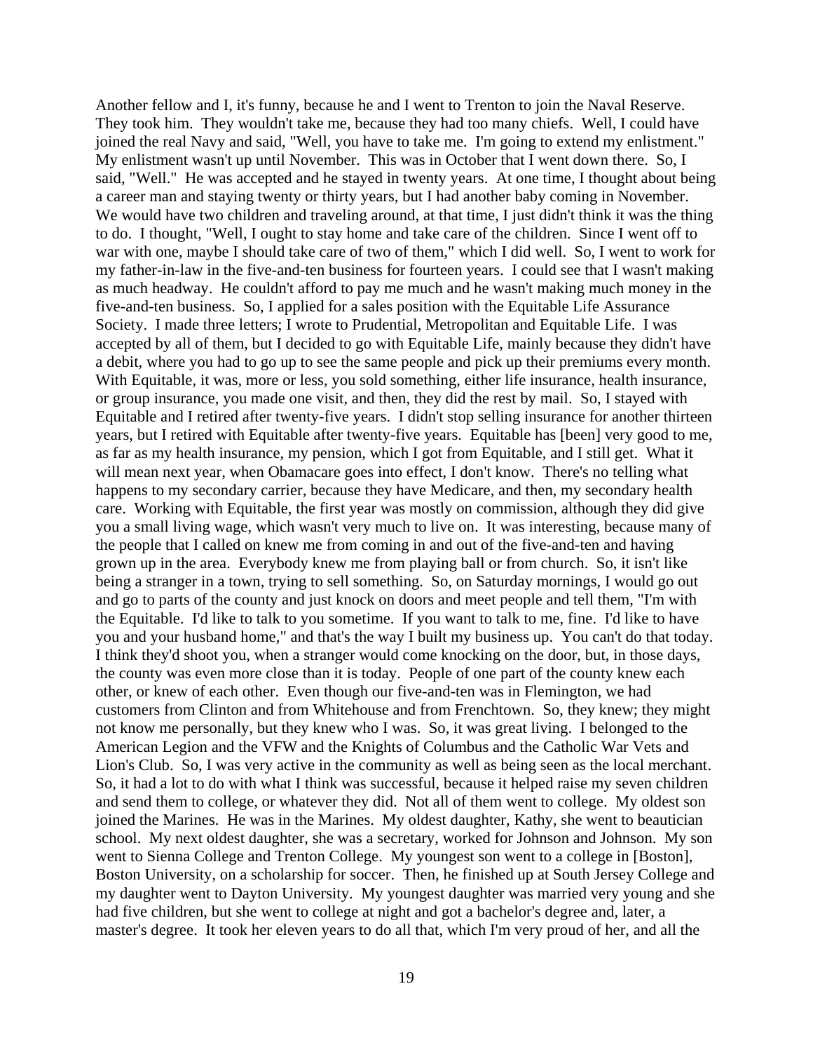Another fellow and I, it's funny, because he and I went to Trenton to join the Naval Reserve. They took him. They wouldn't take me, because they had too many chiefs. Well, I could have joined the real Navy and said, "Well, you have to take me. I'm going to extend my enlistment." My enlistment wasn't up until November. This was in October that I went down there. So, I said, "Well." He was accepted and he stayed in twenty years. At one time, I thought about being a career man and staying twenty or thirty years, but I had another baby coming in November. We would have two children and traveling around, at that time, I just didn't think it was the thing to do. I thought, "Well, I ought to stay home and take care of the children. Since I went off to war with one, maybe I should take care of two of them," which I did well. So, I went to work for my father-in-law in the five-and-ten business for fourteen years. I could see that I wasn't making as much headway. He couldn't afford to pay me much and he wasn't making much money in the five-and-ten business. So, I applied for a sales position with the Equitable Life Assurance Society. I made three letters; I wrote to Prudential, Metropolitan and Equitable Life. I was accepted by all of them, but I decided to go with Equitable Life, mainly because they didn't have a debit, where you had to go up to see the same people and pick up their premiums every month. With Equitable, it was, more or less, you sold something, either life insurance, health insurance, or group insurance, you made one visit, and then, they did the rest by mail. So, I stayed with Equitable and I retired after twenty-five years. I didn't stop selling insurance for another thirteen years, but I retired with Equitable after twenty-five years. Equitable has [been] very good to me, as far as my health insurance, my pension, which I got from Equitable, and I still get. What it will mean next year, when Obamacare goes into effect, I don't know. There's no telling what happens to my secondary carrier, because they have Medicare, and then, my secondary health care. Working with Equitable, the first year was mostly on commission, although they did give you a small living wage, which wasn't very much to live on. It was interesting, because many of the people that I called on knew me from coming in and out of the five-and-ten and having grown up in the area. Everybody knew me from playing ball or from church. So, it isn't like being a stranger in a town, trying to sell something. So, on Saturday mornings, I would go out and go to parts of the county and just knock on doors and meet people and tell them, "I'm with the Equitable. I'd like to talk to you sometime. If you want to talk to me, fine. I'd like to have you and your husband home," and that's the way I built my business up. You can't do that today. I think they'd shoot you, when a stranger would come knocking on the door, but, in those days, the county was even more close than it is today. People of one part of the county knew each other, or knew of each other. Even though our five-and-ten was in Flemington, we had customers from Clinton and from Whitehouse and from Frenchtown. So, they knew; they might not know me personally, but they knew who I was. So, it was great living. I belonged to the American Legion and the VFW and the Knights of Columbus and the Catholic War Vets and Lion's Club. So, I was very active in the community as well as being seen as the local merchant. So, it had a lot to do with what I think was successful, because it helped raise my seven children and send them to college, or whatever they did. Not all of them went to college. My oldest son joined the Marines. He was in the Marines. My oldest daughter, Kathy, she went to beautician school. My next oldest daughter, she was a secretary, worked for Johnson and Johnson. My son went to Sienna College and Trenton College. My youngest son went to a college in [Boston], Boston University, on a scholarship for soccer. Then, he finished up at South Jersey College and my daughter went to Dayton University. My youngest daughter was married very young and she had five children, but she went to college at night and got a bachelor's degree and, later, a master's degree. It took her eleven years to do all that, which I'm very proud of her, and all the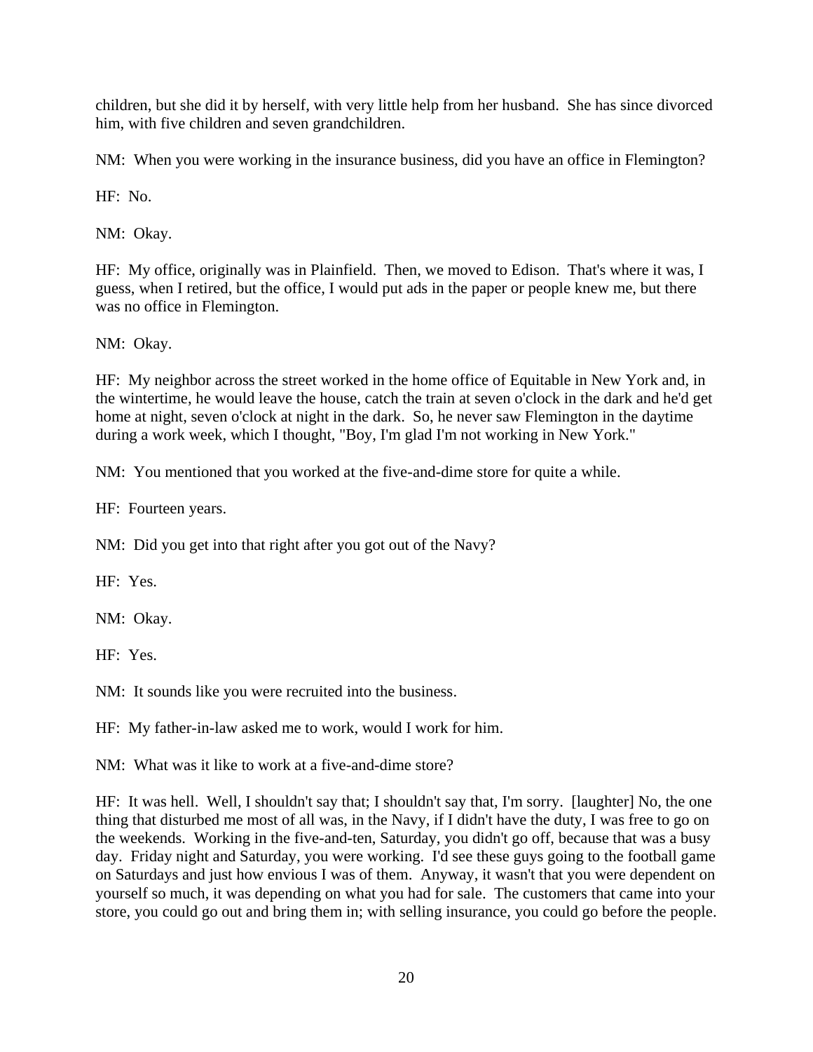children, but she did it by herself, with very little help from her husband. She has since divorced him, with five children and seven grandchildren.

NM: When you were working in the insurance business, did you have an office in Flemington?

HF: No.

NM: Okay.

HF: My office, originally was in Plainfield. Then, we moved to Edison. That's where it was, I guess, when I retired, but the office, I would put ads in the paper or people knew me, but there was no office in Flemington.

NM: Okay.

HF: My neighbor across the street worked in the home office of Equitable in New York and, in the wintertime, he would leave the house, catch the train at seven o'clock in the dark and he'd get home at night, seven o'clock at night in the dark. So, he never saw Flemington in the daytime during a work week, which I thought, "Boy, I'm glad I'm not working in New York."

NM: You mentioned that you worked at the five-and-dime store for quite a while.

HF: Fourteen years.

NM: Did you get into that right after you got out of the Navy?

HF: Yes.

NM: Okay.

HF: Yes.

NM: It sounds like you were recruited into the business.

HF: My father-in-law asked me to work, would I work for him.

NM: What was it like to work at a five-and-dime store?

HF: It was hell. Well, I shouldn't say that; I shouldn't say that, I'm sorry. [laughter] No, the one thing that disturbed me most of all was, in the Navy, if I didn't have the duty, I was free to go on the weekends. Working in the five-and-ten, Saturday, you didn't go off, because that was a busy day. Friday night and Saturday, you were working. I'd see these guys going to the football game on Saturdays and just how envious I was of them. Anyway, it wasn't that you were dependent on yourself so much, it was depending on what you had for sale. The customers that came into your store, you could go out and bring them in; with selling insurance, you could go before the people.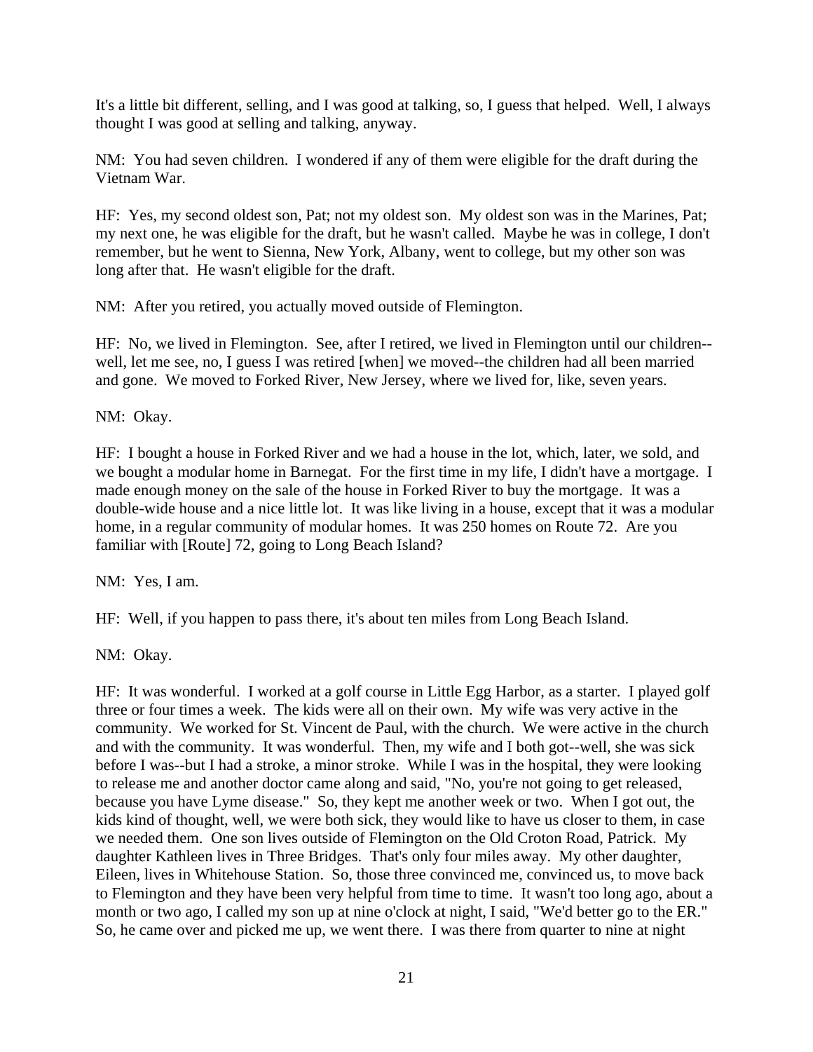It's a little bit different, selling, and I was good at talking, so, I guess that helped. Well, I always thought I was good at selling and talking, anyway.

NM: You had seven children. I wondered if any of them were eligible for the draft during the Vietnam War.

HF: Yes, my second oldest son, Pat; not my oldest son. My oldest son was in the Marines, Pat; my next one, he was eligible for the draft, but he wasn't called. Maybe he was in college, I don't remember, but he went to Sienna, New York, Albany, went to college, but my other son was long after that. He wasn't eligible for the draft.

NM: After you retired, you actually moved outside of Flemington.

HF: No, we lived in Flemington. See, after I retired, we lived in Flemington until our children- well, let me see, no, I guess I was retired [when] we moved--the children had all been married and gone. We moved to Forked River, New Jersey, where we lived for, like, seven years.

NM: Okay.

HF: I bought a house in Forked River and we had a house in the lot, which, later, we sold, and we bought a modular home in Barnegat. For the first time in my life, I didn't have a mortgage. I made enough money on the sale of the house in Forked River to buy the mortgage. It was a double-wide house and a nice little lot. It was like living in a house, except that it was a modular home, in a regular community of modular homes. It was 250 homes on Route 72. Are you familiar with [Route] 72, going to Long Beach Island?

NM: Yes, I am.

HF: Well, if you happen to pass there, it's about ten miles from Long Beach Island.

NM: Okay.

HF: It was wonderful. I worked at a golf course in Little Egg Harbor, as a starter. I played golf three or four times a week. The kids were all on their own. My wife was very active in the community. We worked for St. Vincent de Paul, with the church. We were active in the church and with the community. It was wonderful. Then, my wife and I both got--well, she was sick before I was--but I had a stroke, a minor stroke. While I was in the hospital, they were looking to release me and another doctor came along and said, "No, you're not going to get released, because you have Lyme disease." So, they kept me another week or two. When I got out, the kids kind of thought, well, we were both sick, they would like to have us closer to them, in case we needed them. One son lives outside of Flemington on the Old Croton Road, Patrick. My daughter Kathleen lives in Three Bridges. That's only four miles away. My other daughter, Eileen, lives in Whitehouse Station. So, those three convinced me, convinced us, to move back to Flemington and they have been very helpful from time to time. It wasn't too long ago, about a month or two ago, I called my son up at nine o'clock at night, I said, "We'd better go to the ER." So, he came over and picked me up, we went there. I was there from quarter to nine at night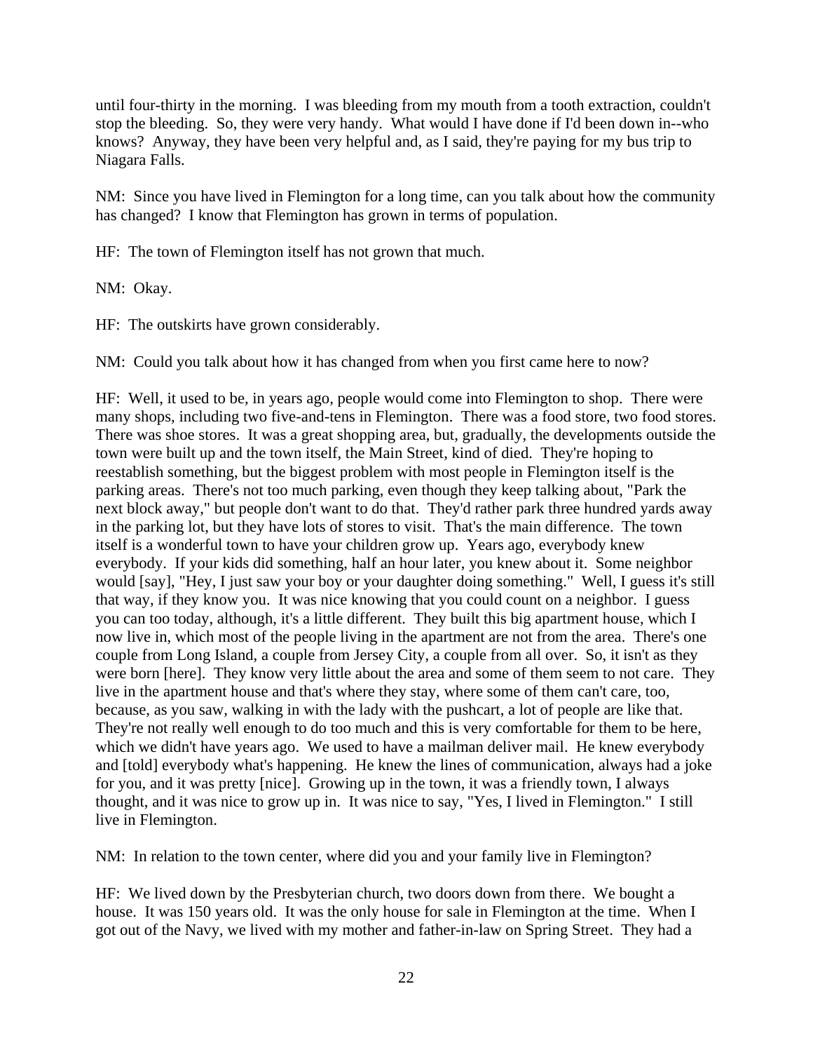until four-thirty in the morning. I was bleeding from my mouth from a tooth extraction, couldn't stop the bleeding. So, they were very handy. What would I have done if I'd been down in--who knows? Anyway, they have been very helpful and, as I said, they're paying for my bus trip to Niagara Falls.

NM: Since you have lived in Flemington for a long time, can you talk about how the community has changed? I know that Flemington has grown in terms of population.

HF: The town of Flemington itself has not grown that much.

NM: Okay.

HF: The outskirts have grown considerably.

NM: Could you talk about how it has changed from when you first came here to now?

HF: Well, it used to be, in years ago, people would come into Flemington to shop. There were many shops, including two five-and-tens in Flemington. There was a food store, two food stores. There was shoe stores. It was a great shopping area, but, gradually, the developments outside the town were built up and the town itself, the Main Street, kind of died. They're hoping to reestablish something, but the biggest problem with most people in Flemington itself is the parking areas. There's not too much parking, even though they keep talking about, "Park the next block away," but people don't want to do that. They'd rather park three hundred yards away in the parking lot, but they have lots of stores to visit. That's the main difference. The town itself is a wonderful town to have your children grow up. Years ago, everybody knew everybody. If your kids did something, half an hour later, you knew about it. Some neighbor would [say], "Hey, I just saw your boy or your daughter doing something." Well, I guess it's still that way, if they know you. It was nice knowing that you could count on a neighbor. I guess you can too today, although, it's a little different. They built this big apartment house, which I now live in, which most of the people living in the apartment are not from the area. There's one couple from Long Island, a couple from Jersey City, a couple from all over. So, it isn't as they were born [here]. They know very little about the area and some of them seem to not care. They live in the apartment house and that's where they stay, where some of them can't care, too, because, as you saw, walking in with the lady with the pushcart, a lot of people are like that. They're not really well enough to do too much and this is very comfortable for them to be here, which we didn't have years ago. We used to have a mailman deliver mail. He knew everybody and [told] everybody what's happening. He knew the lines of communication, always had a joke for you, and it was pretty [nice]. Growing up in the town, it was a friendly town, I always thought, and it was nice to grow up in. It was nice to say, "Yes, I lived in Flemington." I still live in Flemington.

NM: In relation to the town center, where did you and your family live in Flemington?

HF: We lived down by the Presbyterian church, two doors down from there. We bought a house. It was 150 years old. It was the only house for sale in Flemington at the time. When I got out of the Navy, we lived with my mother and father-in-law on Spring Street. They had a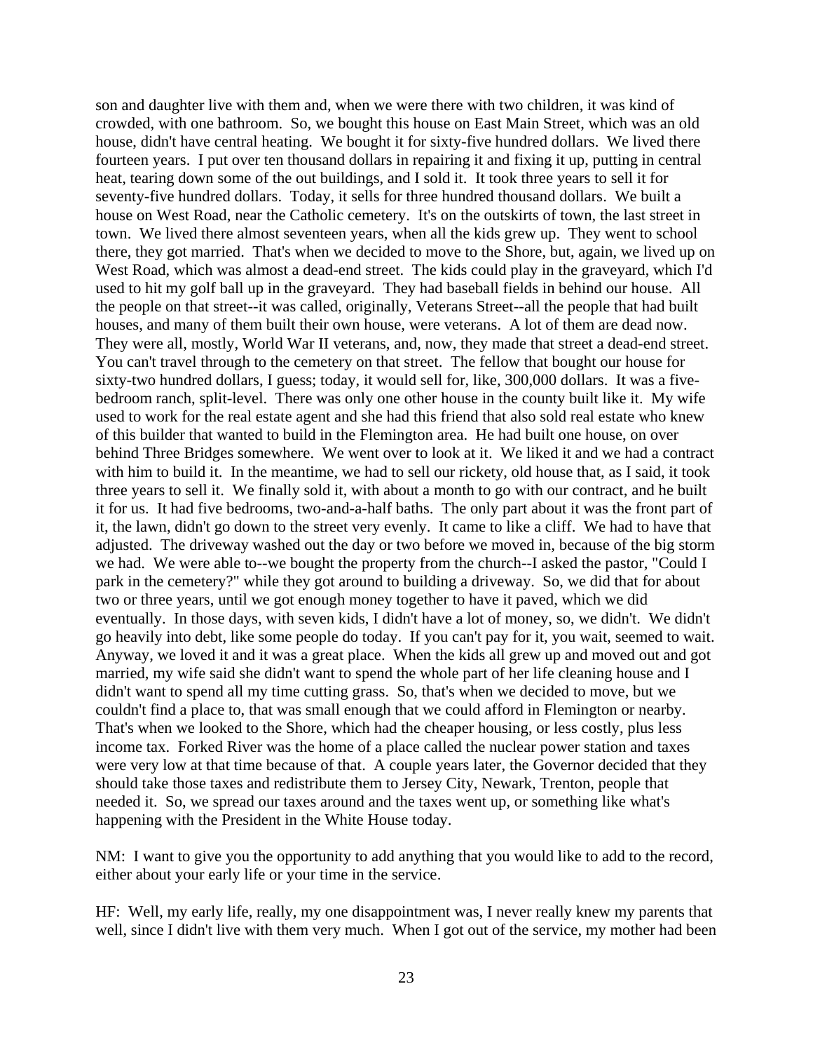son and daughter live with them and, when we were there with two children, it was kind of crowded, with one bathroom. So, we bought this house on East Main Street, which was an old house, didn't have central heating. We bought it for sixty-five hundred dollars. We lived there fourteen years. I put over ten thousand dollars in repairing it and fixing it up, putting in central heat, tearing down some of the out buildings, and I sold it. It took three years to sell it for seventy-five hundred dollars. Today, it sells for three hundred thousand dollars. We built a house on West Road, near the Catholic cemetery. It's on the outskirts of town, the last street in town. We lived there almost seventeen years, when all the kids grew up. They went to school there, they got married. That's when we decided to move to the Shore, but, again, we lived up on West Road, which was almost a dead-end street. The kids could play in the graveyard, which I'd used to hit my golf ball up in the graveyard. They had baseball fields in behind our house. All the people on that street--it was called, originally, Veterans Street--all the people that had built houses, and many of them built their own house, were veterans. A lot of them are dead now. They were all, mostly, World War II veterans, and, now, they made that street a dead-end street. You can't travel through to the cemetery on that street. The fellow that bought our house for sixty-two hundred dollars, I guess; today, it would sell for, like, 300,000 dollars. It was a fivebedroom ranch, split-level. There was only one other house in the county built like it. My wife used to work for the real estate agent and she had this friend that also sold real estate who knew of this builder that wanted to build in the Flemington area. He had built one house, on over behind Three Bridges somewhere. We went over to look at it. We liked it and we had a contract with him to build it. In the meantime, we had to sell our rickety, old house that, as I said, it took three years to sell it. We finally sold it, with about a month to go with our contract, and he built it for us. It had five bedrooms, two-and-a-half baths. The only part about it was the front part of it, the lawn, didn't go down to the street very evenly. It came to like a cliff. We had to have that adjusted. The driveway washed out the day or two before we moved in, because of the big storm we had. We were able to--we bought the property from the church--I asked the pastor, "Could I park in the cemetery?" while they got around to building a driveway. So, we did that for about two or three years, until we got enough money together to have it paved, which we did eventually. In those days, with seven kids, I didn't have a lot of money, so, we didn't. We didn't go heavily into debt, like some people do today. If you can't pay for it, you wait, seemed to wait. Anyway, we loved it and it was a great place. When the kids all grew up and moved out and got married, my wife said she didn't want to spend the whole part of her life cleaning house and I didn't want to spend all my time cutting grass. So, that's when we decided to move, but we couldn't find a place to, that was small enough that we could afford in Flemington or nearby. That's when we looked to the Shore, which had the cheaper housing, or less costly, plus less income tax. Forked River was the home of a place called the nuclear power station and taxes were very low at that time because of that. A couple years later, the Governor decided that they should take those taxes and redistribute them to Jersey City, Newark, Trenton, people that needed it. So, we spread our taxes around and the taxes went up, or something like what's happening with the President in the White House today.

NM: I want to give you the opportunity to add anything that you would like to add to the record, either about your early life or your time in the service.

HF: Well, my early life, really, my one disappointment was, I never really knew my parents that well, since I didn't live with them very much. When I got out of the service, my mother had been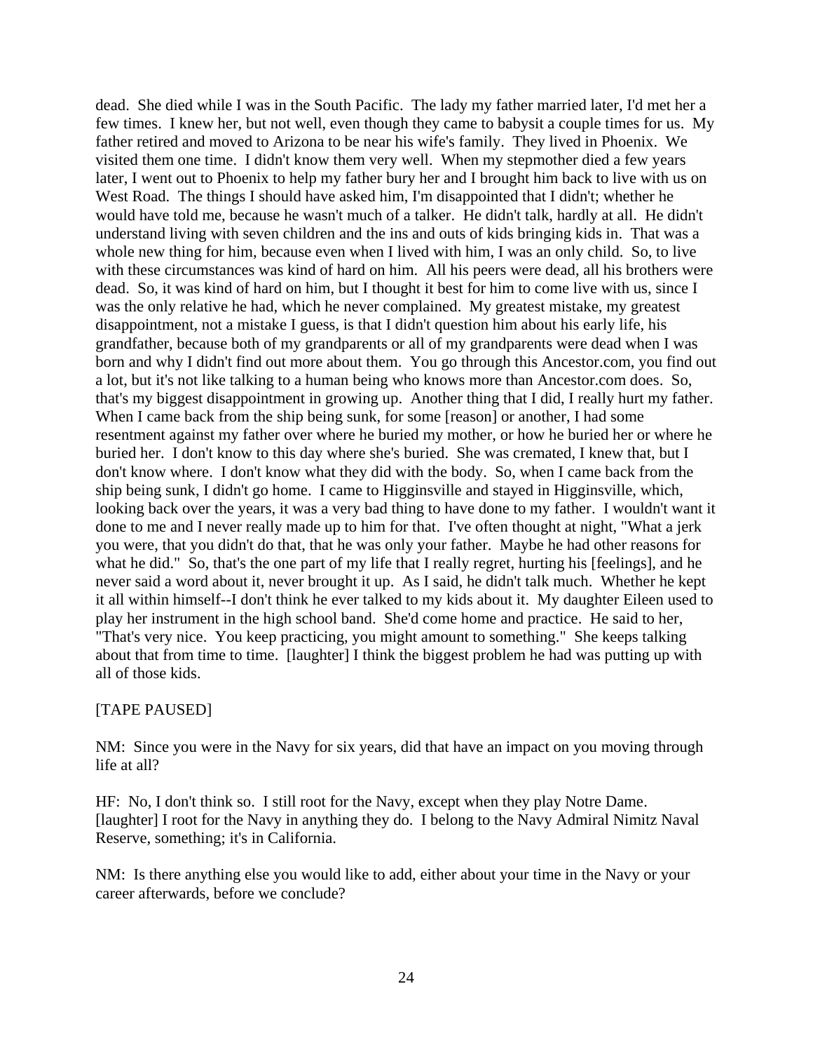dead. She died while I was in the South Pacific. The lady my father married later, I'd met her a few times. I knew her, but not well, even though they came to babysit a couple times for us. My father retired and moved to Arizona to be near his wife's family. They lived in Phoenix. We visited them one time. I didn't know them very well. When my stepmother died a few years later, I went out to Phoenix to help my father bury her and I brought him back to live with us on West Road. The things I should have asked him, I'm disappointed that I didn't; whether he would have told me, because he wasn't much of a talker. He didn't talk, hardly at all. He didn't understand living with seven children and the ins and outs of kids bringing kids in. That was a whole new thing for him, because even when I lived with him, I was an only child. So, to live with these circumstances was kind of hard on him. All his peers were dead, all his brothers were dead. So, it was kind of hard on him, but I thought it best for him to come live with us, since I was the only relative he had, which he never complained. My greatest mistake, my greatest disappointment, not a mistake I guess, is that I didn't question him about his early life, his grandfather, because both of my grandparents or all of my grandparents were dead when I was born and why I didn't find out more about them. You go through this Ancestor.com, you find out a lot, but it's not like talking to a human being who knows more than Ancestor.com does. So, that's my biggest disappointment in growing up. Another thing that I did, I really hurt my father. When I came back from the ship being sunk, for some [reason] or another, I had some resentment against my father over where he buried my mother, or how he buried her or where he buried her. I don't know to this day where she's buried. She was cremated, I knew that, but I don't know where. I don't know what they did with the body. So, when I came back from the ship being sunk, I didn't go home. I came to Higginsville and stayed in Higginsville, which, looking back over the years, it was a very bad thing to have done to my father. I wouldn't want it done to me and I never really made up to him for that. I've often thought at night, "What a jerk you were, that you didn't do that, that he was only your father. Maybe he had other reasons for what he did." So, that's the one part of my life that I really regret, hurting his [feelings], and he never said a word about it, never brought it up. As I said, he didn't talk much. Whether he kept it all within himself--I don't think he ever talked to my kids about it. My daughter Eileen used to play her instrument in the high school band. She'd come home and practice. He said to her, "That's very nice. You keep practicing, you might amount to something." She keeps talking about that from time to time. [laughter] I think the biggest problem he had was putting up with all of those kids.

### [TAPE PAUSED]

NM: Since you were in the Navy for six years, did that have an impact on you moving through life at all?

HF: No, I don't think so. I still root for the Navy, except when they play Notre Dame. [laughter] I root for the Navy in anything they do. I belong to the Navy Admiral Nimitz Naval Reserve, something; it's in California.

NM: Is there anything else you would like to add, either about your time in the Navy or your career afterwards, before we conclude?